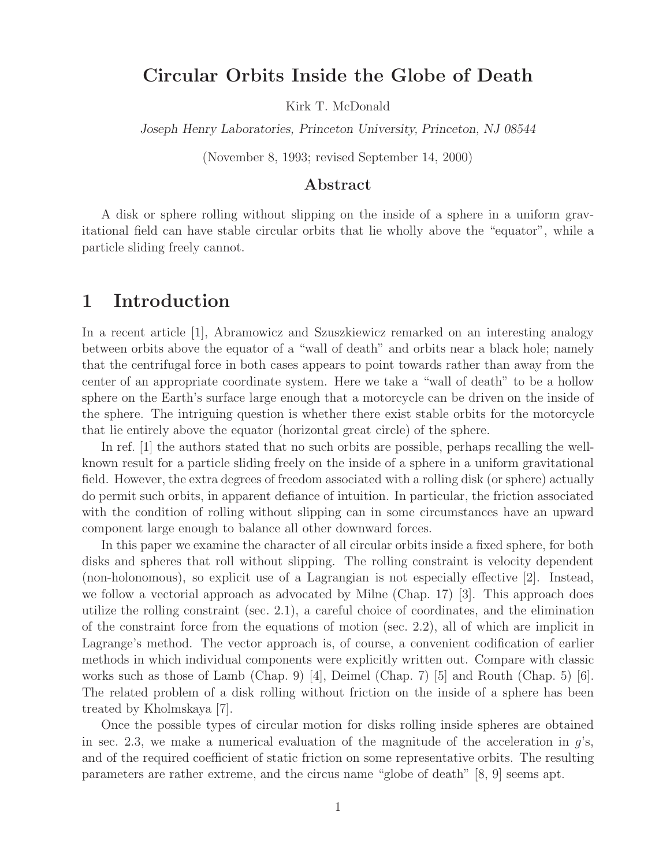## **Circular Orbits Inside the Globe of Death**

Kirk T. McDonald

*Joseph Henry Laboratories, Princeton University, Princeton, NJ 08544*

(November 8, 1993; revised September 14, 2000)

### **Abstract**

A disk or sphere rolling without slipping on the inside of a sphere in a uniform gravitational field can have stable circular orbits that lie wholly above the "equator", while a particle sliding freely cannot.

## **1 Introduction**

In a recent article [1], Abramowicz and Szuszkiewicz remarked on an interesting analogy between orbits above the equator of a "wall of death" and orbits near a black hole; namely that the centrifugal force in both cases appears to point towards rather than away from the center of an appropriate coordinate system. Here we take a "wall of death" to be a hollow sphere on the Earth's surface large enough that a motorcycle can be driven on the inside of the sphere. The intriguing question is whether there exist stable orbits for the motorcycle that lie entirely above the equator (horizontal great circle) of the sphere.

In ref. [1] the authors stated that no such orbits are possible, perhaps recalling the wellknown result for a particle sliding freely on the inside of a sphere in a uniform gravitational field. However, the extra degrees of freedom associated with a rolling disk (or sphere) actually do permit such orbits, in apparent defiance of intuition. In particular, the friction associated with the condition of rolling without slipping can in some circumstances have an upward component large enough to balance all other downward forces.

In this paper we examine the character of all circular orbits inside a fixed sphere, for both disks and spheres that roll without slipping. The rolling constraint is velocity dependent (non-holonomous), so explicit use of a Lagrangian is not especially effective [2]. Instead, we follow a vectorial approach as advocated by Milne (Chap. 17) [3]. This approach does utilize the rolling constraint (sec. 2.1), a careful choice of coordinates, and the elimination of the constraint force from the equations of motion (sec. 2.2), all of which are implicit in Lagrange's method. The vector approach is, of course, a convenient codification of earlier methods in which individual components were explicitly written out. Compare with classic works such as those of Lamb (Chap. 9) [4], Deimel (Chap. 7) [5] and Routh (Chap. 5) [6]. The related problem of a disk rolling without friction on the inside of a sphere has been treated by Kholmskaya [7].

Once the possible types of circular motion for disks rolling inside spheres are obtained in sec. 2.3, we make a numerical evaluation of the magnitude of the acceleration in  $q$ 's, and of the required coefficient of static friction on some representative orbits. The resulting parameters are rather extreme, and the circus name "globe of death" [8, 9] seems apt.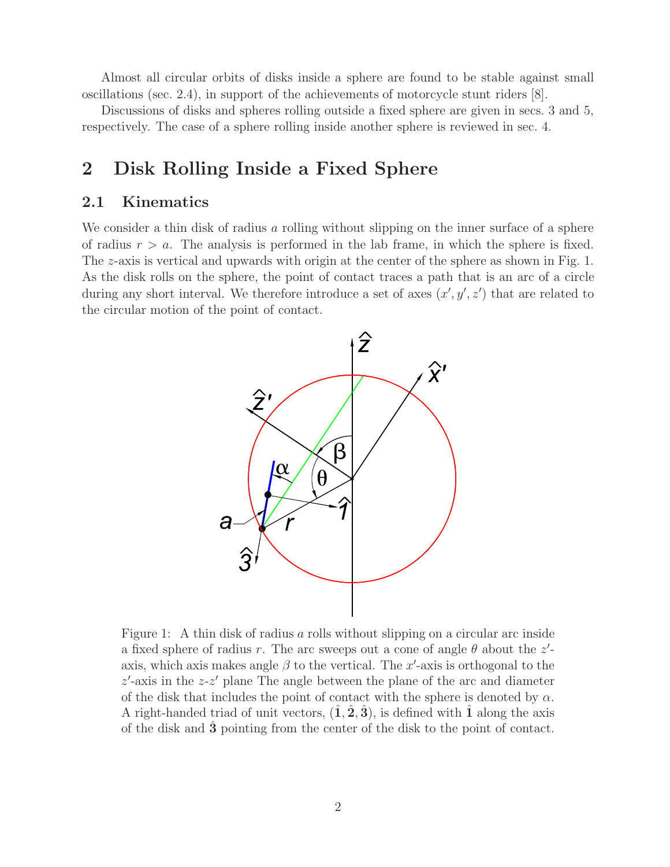Almost all circular orbits of disks inside a sphere are found to be stable against small oscillations (sec. 2.4), in support of the achievements of motorcycle stunt riders [8].

Discussions of disks and spheres rolling outside a fixed sphere are given in secs. 3 and 5, respectively. The case of a sphere rolling inside another sphere is reviewed in sec. 4.

## **2 Disk Rolling Inside a Fixed Sphere**

### **2.1 Kinematics**

We consider a thin disk of radius a rolling without slipping on the inner surface of a sphere of radius  $r>a$ . The analysis is performed in the lab frame, in which the sphere is fixed. The z-axis is vertical and upwards with origin at the center of the sphere as shown in Fig. 1. As the disk rolls on the sphere, the point of contact traces a path that is an arc of a circle during any short interval. We therefore introduce a set of axes  $(x', y', z')$  that are related to the circular motion of the point of contact.



Figure 1: A thin disk of radius a rolls without slipping on a circular arc inside a fixed sphere of radius r. The arc sweeps out a cone of angle  $\theta$  about the  $z'$ axis, which axis makes angle  $\beta$  to the vertical. The x'-axis is orthogonal to the  $z'$ -axis in the  $z-z'$  plane The angle between the plane of the arc and diameter of the disk that includes the point of contact with the sphere is denoted by  $\alpha$ . A right-handed triad of unit vectors,  $(1, 2, 3)$ , is defined with 1 along the axis of the disk and **3**ˆ pointing from the center of the disk to the point of contact.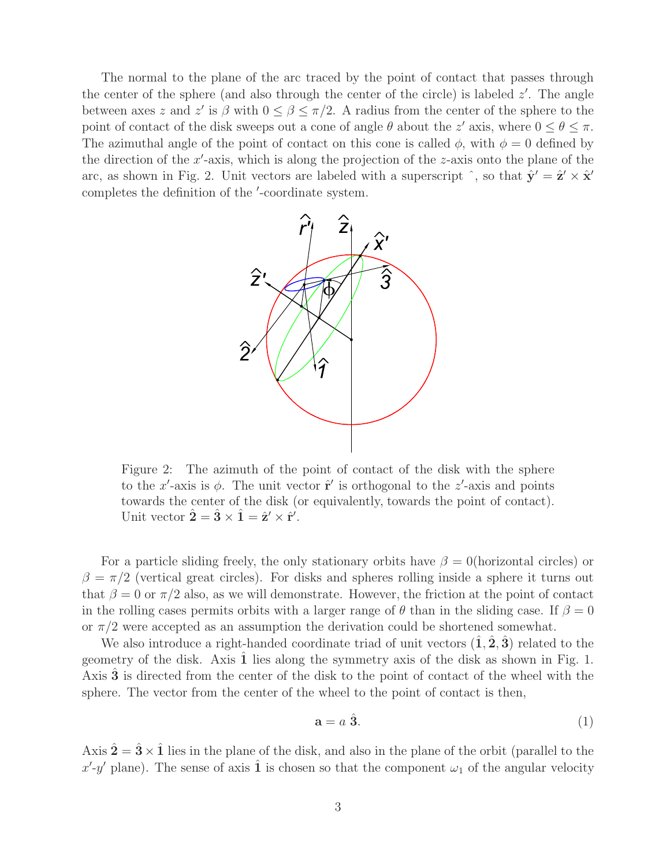The normal to the plane of the arc traced by the point of contact that passes through the center of the sphere (and also through the center of the circle) is labeled  $z'$ . The angle between axes z and z' is  $\beta$  with  $0 \le \beta \le \pi/2$ . A radius from the center of the sphere to the point of contact of the disk sweeps out a cone of angle  $\theta$  about the z' axis, where  $0 \le \theta \le \pi$ . The azimuthal angle of the point of contact on this cone is called  $\phi$ , with  $\phi = 0$  defined by the direction of the  $x'$ -axis, which is along the projection of the z-axis onto the plane of the arc, as shown in Fig. 2. Unit vectors are labeled with a superscript  $\hat{\ }$ , so that  $\hat{\mathbf{y}}' = \hat{\mathbf{z}}' \times \hat{\mathbf{x}}'$ completes the definition of the '-coordinate system.



Figure 2: The azimuth of the point of contact of the disk with the sphere to the x<sup>'</sup>-axis is  $\phi$ . The unit vector  $\hat{\mathbf{r}}'$  is orthogonal to the z'-axis and points towards the center of the disk (or equivalently, towards the point of contact). Unit vector  $\hat{\mathbf{2}} = \hat{\mathbf{3}} \times \hat{\mathbf{1}} = \hat{\mathbf{z}}' \times \hat{\mathbf{r}}'.$ 

For a particle sliding freely, the only stationary orbits have  $\beta = 0$ (horizontal circles) or  $\beta = \pi/2$  (vertical great circles). For disks and spheres rolling inside a sphere it turns out that  $\beta = 0$  or  $\pi/2$  also, as we will demonstrate. However, the friction at the point of contact in the rolling cases permits orbits with a larger range of  $\theta$  than in the sliding case. If  $\beta = 0$ or  $\pi/2$  were accepted as an assumption the derivation could be shortened somewhat.

We also introduce a right-handed coordinate triad of unit vectors  $(1, 2, 3)$  related to the geometry of the disk. Axis 1 lies along the symmetry axis of the disk as shown in Fig. 1. Axis **3** is directed from the center of the disk to the point of contact of the wheel with the sphere. The vector from the center of the wheel to the point of contact is then,

$$
\mathbf{a} = a \; \hat{\mathbf{3}}.\tag{1}
$$

Axis  $\hat{\mathbf{2}} = \hat{\mathbf{3}} \times \hat{\mathbf{1}}$  lies in the plane of the disk, and also in the plane of the orbit (parallel to the x'-y' plane). The sense of axis  $\hat{1}$  is chosen so that the component  $\omega_1$  of the angular velocity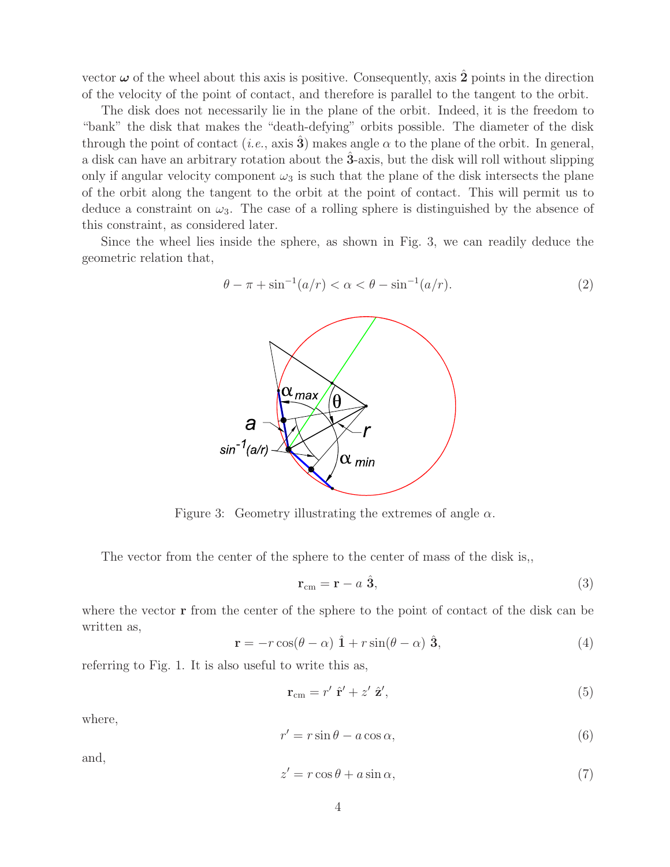vector  $\omega$  of the wheel about this axis is positive. Consequently, axis  $\hat{2}$  points in the direction of the velocity of the point of contact, and therefore is parallel to the tangent to the orbit.

The disk does not necessarily lie in the plane of the orbit. Indeed, it is the freedom to "bank" the disk that makes the "death-defying" orbits possible. The diameter of the disk through the point of contact (*i.e.*, axis **3**) makes angle  $\alpha$  to the plane of the orbit. In general, a disk can have an arbitrary rotation about the **3**ˆ-axis, but the disk will roll without slipping only if angular velocity component  $\omega_3$  is such that the plane of the disk intersects the plane of the orbit along the tangent to the orbit at the point of contact. This will permit us to deduce a constraint on  $\omega_3$ . The case of a rolling sphere is distinguished by the absence of this constraint, as considered later.

Since the wheel lies inside the sphere, as shown in Fig. 3, we can readily deduce the geometric relation that,



$$
\theta - \pi + \sin^{-1}(a/r) < \alpha < \theta - \sin^{-1}(a/r). \tag{2}
$$

Figure 3: Geometry illustrating the extremes of angle  $\alpha$ .

The vector from the center of the sphere to the center of mass of the disk is,,

$$
\mathbf{r}_{\rm cm} = \mathbf{r} - a \; \hat{\mathbf{3}},\tag{3}
$$

where the vector **r** from the center of the sphere to the point of contact of the disk can be written as,

$$
\mathbf{r} = -r\cos(\theta - \alpha)\hat{\mathbf{1}} + r\sin(\theta - \alpha)\hat{\mathbf{3}},\tag{4}
$$

referring to Fig. 1. It is also useful to write this as,

$$
\mathbf{r}_{\rm cm} = r' \hat{\mathbf{r}}' + z' \hat{\mathbf{z}}',\tag{5}
$$

where,

$$
r' = r\sin\theta - a\cos\alpha,\tag{6}
$$

and,

$$
z' = r\cos\theta + a\sin\alpha,\tag{7}
$$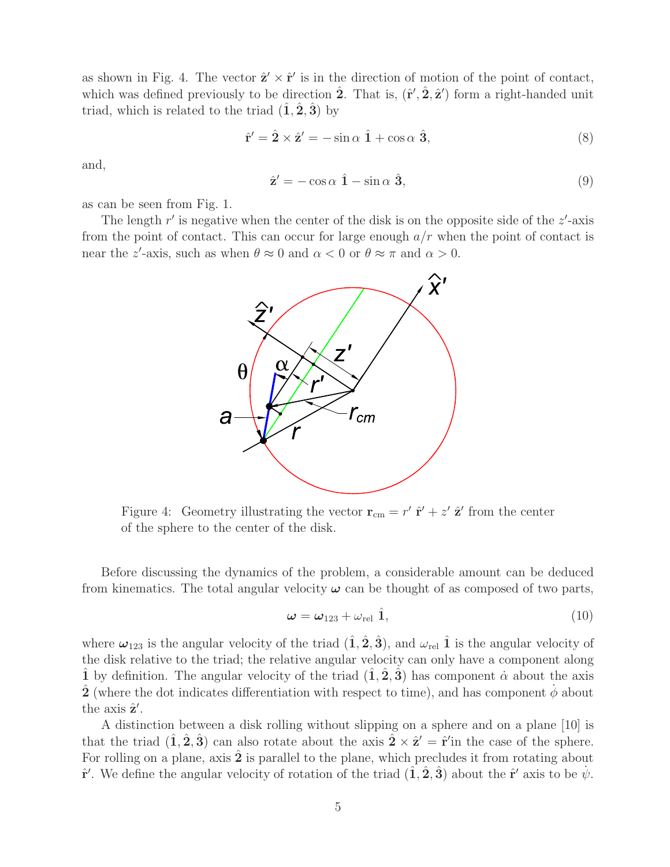as shown in Fig. 4. The vector  $\hat{\mathbf{z}}' \times \hat{\mathbf{r}}'$  is in the direction of motion of the point of contact, which was defined previously to be direction  $\hat{\mathbf{2}}$ . That is,  $(\hat{\mathbf{r}}', \hat{\mathbf{2}}, \hat{\mathbf{z}}')$  form a right-handed unit triad, which is related to the triad  $(\hat{\mathbf{1}}, \hat{\mathbf{2}}, \hat{\mathbf{3}})$  by

$$
\hat{\mathbf{r}}' = \hat{\mathbf{2}} \times \hat{\mathbf{z}}' = -\sin \alpha \hat{\mathbf{1}} + \cos \alpha \hat{\mathbf{3}},\tag{8}
$$

and,

$$
\hat{\mathbf{z}}' = -\cos\alpha \hat{\mathbf{1}} - \sin\alpha \hat{\mathbf{3}},\tag{9}
$$

as can be seen from Fig. 1.

The length  $r'$  is negative when the center of the disk is on the opposite side of the  $z'$ -axis from the point of contact. This can occur for large enough  $a/r$  when the point of contact is near the z'-axis, such as when  $\theta \approx 0$  and  $\alpha < 0$  or  $\theta \approx \pi$  and  $\alpha > 0$ .



Figure 4: Geometry illustrating the vector  $\mathbf{r}_{cm} = r' \hat{\mathbf{r}}' + z' \hat{\mathbf{z}}'$  from the center of the sphere to the center of the disk.

Before discussing the dynamics of the problem, a considerable amount can be deduced from kinematics. The total angular velocity  $\omega$  can be thought of as composed of two parts,

$$
\omega = \omega_{123} + \omega_{\text{rel}} \hat{1},\tag{10}
$$

where  $\omega_{123}$  is the angular velocity of the triad  $(\hat{1}, \hat{2}, \hat{3})$ , and  $\omega_{rel}$   $\hat{1}$  is the angular velocity of the disk relative to the triad; the relative angular velocity can only have a component along **1** by definition. The angular velocity of the triad  $(1, 2, 3)$  has component  $\alpha$  about the axis **2** (where the dot indicates differentiation with respect to time), and has component  $\phi$  about the axis  $\hat{\mathbf{z}}'$ .

A distinction between a disk rolling without slipping on a sphere and on a plane [10] is that the triad  $(\hat{\mathbf{1}}, \hat{\mathbf{2}}, \hat{\mathbf{3}})$  can also rotate about the axis  $\hat{\mathbf{2}} \times \hat{\mathbf{z}}' = \hat{\mathbf{r}}'$  in the case of the sphere. For rolling on a plane, axis  $\hat{2}$  is parallel to the plane, which precludes it from rotating about  $\hat{\mathbf{r}}'$ . We define the angular velocity of rotation of the triad  $(\hat{\mathbf{1}}, \hat{\mathbf{2}}, \hat{\mathbf{3}})$  about the  $\hat{\mathbf{r}}'$  axis to be  $\dot{\psi}$ .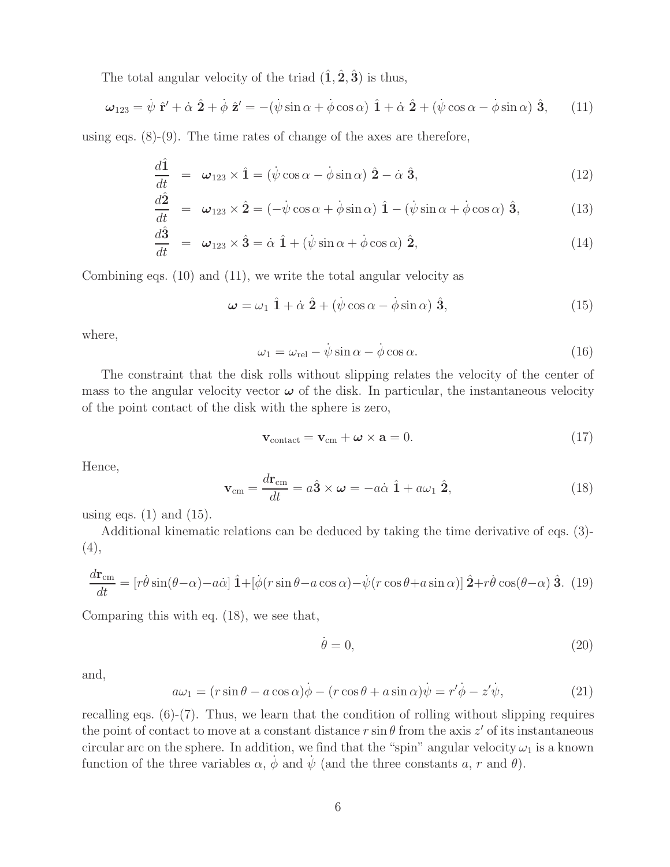The total angular velocity of the triad  $(\hat{\mathbf{1}}, \hat{\mathbf{2}}, \hat{\mathbf{3}})$  is thus,

$$
\omega_{123} = \dot{\psi} \hat{\mathbf{r}}' + \dot{\alpha} \hat{\mathbf{2}} + \dot{\phi} \hat{\mathbf{z}}' = -(\dot{\psi}\sin\alpha + \dot{\phi}\cos\alpha) \hat{\mathbf{1}} + \dot{\alpha} \hat{\mathbf{2}} + (\dot{\psi}\cos\alpha - \dot{\phi}\sin\alpha) \hat{\mathbf{3}}, \quad (11)
$$

using eqs.  $(8)-(9)$ . The time rates of change of the axes are therefore,

$$
\frac{d\hat{\mathbf{1}}}{dt} = \boldsymbol{\omega}_{123} \times \hat{\mathbf{1}} = (\dot{\psi} \cos \alpha - \dot{\phi} \sin \alpha) \hat{\mathbf{2}} - \dot{\alpha} \hat{\mathbf{3}},
$$
\n(12)

$$
\frac{d\hat{\mathbf{2}}}{dt} = \boldsymbol{\omega}_{123} \times \hat{\mathbf{2}} = (-\dot{\psi}\cos\alpha + \dot{\phi}\sin\alpha) \hat{\mathbf{1}} - (\dot{\psi}\sin\alpha + \dot{\phi}\cos\alpha) \hat{\mathbf{3}},
$$
(13)

$$
\frac{d\hat{\mathbf{3}}}{dt} = \boldsymbol{\omega}_{123} \times \hat{\mathbf{3}} = \dot{\alpha} \hat{\mathbf{1}} + (\dot{\psi} \sin \alpha + \dot{\phi} \cos \alpha) \hat{\mathbf{2}},
$$
\n(14)

Combining eqs. (10) and (11), we write the total angular velocity as

$$
\omega = \omega_1 \hat{1} + \dot{\alpha} \hat{2} + (\dot{\psi} \cos \alpha - \dot{\phi} \sin \alpha) \hat{3}, \qquad (15)
$$

where,

$$
\omega_1 = \omega_{\rm rel} - \dot{\psi} \sin \alpha - \dot{\phi} \cos \alpha. \tag{16}
$$

The constraint that the disk rolls without slipping relates the velocity of the center of mass to the angular velocity vector  $\omega$  of the disk. In particular, the instantaneous velocity of the point contact of the disk with the sphere is zero,

$$
\mathbf{v}_{\text{contact}} = \mathbf{v}_{\text{cm}} + \boldsymbol{\omega} \times \mathbf{a} = 0. \tag{17}
$$

Hence,

$$
\mathbf{v}_{\rm cm} = \frac{d\mathbf{r}_{\rm cm}}{dt} = a\hat{\mathbf{3}} \times \boldsymbol{\omega} = -a\dot{\alpha}\hat{\mathbf{1}} + a\omega_1\hat{\mathbf{2}},
$$
(18)

using eqs.  $(1)$  and  $(15)$ .

Additional kinematic relations can be deduced by taking the time derivative of eqs. (3)- (4),

$$
\frac{d\mathbf{r}_{\rm cm}}{dt} = \left[r\dot{\theta}\sin(\theta-\alpha) - a\dot{\alpha}\right]\hat{\mathbf{1}} + \left[\dot{\phi}(r\sin\theta - a\cos\alpha) - \dot{\psi}(r\cos\theta + a\sin\alpha)\right]\hat{\mathbf{2}} + r\dot{\theta}\cos(\theta-\alpha)\hat{\mathbf{3}}.
$$
 (19)

Comparing this with eq. (18), we see that,

$$
\dot{\theta} = 0,\tag{20}
$$

and,

$$
a\omega_1 = (r\sin\theta - a\cos\alpha)\dot{\phi} - (r\cos\theta + a\sin\alpha)\dot{\psi} = r'\dot{\phi} - z'\dot{\psi},\tag{21}
$$

recalling eqs. (6)-(7). Thus, we learn that the condition of rolling without slipping requires the point of contact to move at a constant distance  $r \sin \theta$  from the axis  $z'$  of its instantaneous circular arc on the sphere. In addition, we find that the "spin" angular velocity  $\omega_1$  is a known function of the three variables  $\alpha$ ,  $\dot{\phi}$  and  $\dot{\psi}$  (and the three constants a, r and  $\theta$ ).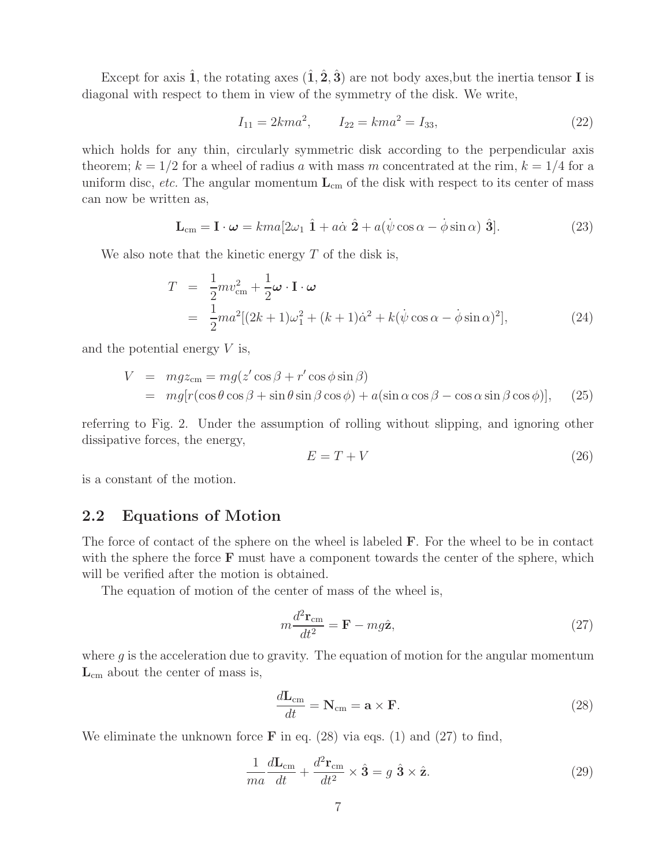Except for axis  $\hat{\mathbf{1}}$ , the rotating axes  $(\hat{\mathbf{1}}, \hat{\mathbf{2}}, \hat{\mathbf{3}})$  are not body axes, but the inertia tensor **I** is diagonal with respect to them in view of the symmetry of the disk. We write,

$$
I_{11} = 2km a^2, \qquad I_{22} = km a^2 = I_{33}, \tag{22}
$$

which holds for any thin, circularly symmetric disk according to the perpendicular axis theorem;  $k = 1/2$  for a wheel of radius a with mass m concentrated at the rim,  $k = 1/4$  for a uniform disc, *etc.* The angular momentum  $L_{cm}$  of the disk with respect to its center of mass can now be written as,

$$
\mathbf{L}_{\rm cm} = \mathbf{I} \cdot \boldsymbol{\omega} = k m a [2\omega_1 \hat{\mathbf{1}} + a\dot{\alpha} \hat{\mathbf{2}} + a(\dot{\psi}\cos\alpha - \dot{\phi}\sin\alpha) \hat{\mathbf{3}}]. \tag{23}
$$

We also note that the kinetic energy  $T$  of the disk is,

$$
T = \frac{1}{2}mv_{\rm cm}^2 + \frac{1}{2}\boldsymbol{\omega} \cdot \mathbf{I} \cdot \boldsymbol{\omega}
$$
  
= 
$$
\frac{1}{2}ma^2[(2k+1)\omega_1^2 + (k+1)\dot{\alpha}^2 + k(\dot{\psi}\cos\alpha - \dot{\phi}\sin\alpha)^2],
$$
 (24)

and the potential energy  $V$  is,

$$
V = mgz_{\rm cm} = mg(z'\cos\beta + r'\cos\phi\sin\beta)
$$
  
=  $mg[r(\cos\theta\cos\beta + \sin\theta\sin\beta\cos\phi) + a(\sin\alpha\cos\beta - \cos\alpha\sin\beta\cos\phi)],$  (25)

referring to Fig. 2. Under the assumption of rolling without slipping, and ignoring other dissipative forces, the energy,

$$
E = T + V \tag{26}
$$

is a constant of the motion.

### **2.2 Equations of Motion**

The force of contact of the sphere on the wheel is labeled **F**. For the wheel to be in contact with the sphere the force **F** must have a component towards the center of the sphere, which will be verified after the motion is obtained.

The equation of motion of the center of mass of the wheel is,

$$
m\frac{d^2\mathbf{r}_{\rm cm}}{dt^2} = \mathbf{F} - mg\hat{\mathbf{z}},\tag{27}
$$

where  $g$  is the acceleration due to gravity. The equation of motion for the angular momentum **L**cm about the center of mass is,

$$
\frac{d\mathbf{L}_{\text{cm}}}{dt} = \mathbf{N}_{\text{cm}} = \mathbf{a} \times \mathbf{F}.\tag{28}
$$

We eliminate the unknown force **F** in eq. (28) via eqs. (1) and (27) to find,

$$
\frac{1}{ma}\frac{d\mathbf{L}_{cm}}{dt} + \frac{d^2\mathbf{r}_{cm}}{dt^2} \times \hat{\mathbf{3}} = g \hat{\mathbf{3}} \times \hat{\mathbf{z}}.
$$
 (29)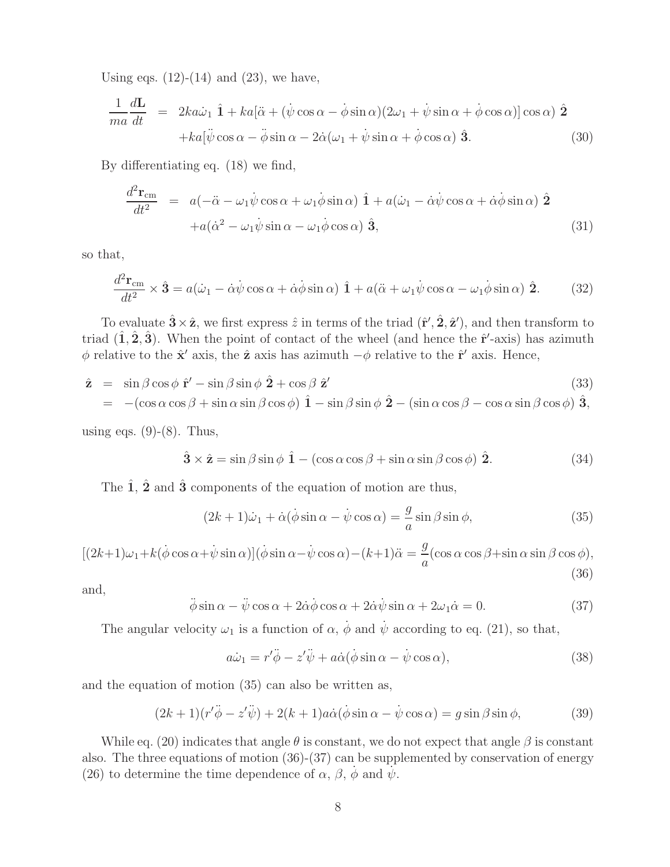Using eqs.  $(12)-(14)$  and  $(23)$ , we have,

$$
\frac{1}{ma}\frac{d\mathbf{L}}{dt} = 2ka\dot{\omega}_1\hat{1} + ka[\ddot{\alpha} + (\dot{\psi}\cos\alpha - \dot{\phi}\sin\alpha)(2\omega_1 + \dot{\psi}\sin\alpha + \dot{\phi}\cos\alpha)]\cos\alpha)\hat{2} + ka[\ddot{\psi}\cos\alpha - \ddot{\phi}\sin\alpha - 2\dot{\alpha}(\omega_1 + \dot{\psi}\sin\alpha + \dot{\phi}\cos\alpha)\hat{3}.
$$
\n(30)

By differentiating eq. (18) we find,

$$
\frac{d^2 \mathbf{r}_{cm}}{dt^2} = a(-\ddot{\alpha} - \omega_1 \dot{\psi} \cos \alpha + \omega_1 \dot{\phi} \sin \alpha) \hat{\mathbf{1}} + a(\dot{\omega}_1 - \dot{\alpha} \dot{\psi} \cos \alpha + \dot{\alpha} \dot{\phi} \sin \alpha) \hat{\mathbf{2}} \n+ a(\dot{\alpha}^2 - \omega_1 \dot{\psi} \sin \alpha - \omega_1 \dot{\phi} \cos \alpha) \hat{\mathbf{3}},
$$
\n(31)

so that,

$$
\frac{d^2\mathbf{r}_{\rm cm}}{dt^2} \times \hat{\mathbf{3}} = a(\dot{\omega}_1 - \dot{\alpha}\dot{\psi}\cos\alpha + \dot{\alpha}\dot{\phi}\sin\alpha)\hat{\mathbf{1}} + a(\ddot{\alpha} + \omega_1\dot{\psi}\cos\alpha - \omega_1\dot{\phi}\sin\alpha)\hat{\mathbf{2}}.
$$
 (32)

To evaluate  $\hat{\mathbf{3}} \times \hat{\mathbf{z}}$ , we first express  $\hat{z}$  in terms of the triad  $(\hat{\mathbf{r}}', \hat{\mathbf{2}}, \hat{\mathbf{z}}')$ , and then transform to triad  $(\hat{\mathbf{1}}, \hat{\mathbf{2}}, \hat{\mathbf{3}})$ . When the point of contact of the wheel (and hence the  $\hat{\mathbf{r}}'$ -axis) has azimuth  $\phi$  relative to the  $\hat{\mathbf{x}}'$  axis, the  $\hat{\mathbf{z}}$  axis has azimuth  $-\phi$  relative to the  $\hat{\mathbf{r}}'$  axis. Hence,

$$
\hat{\mathbf{z}} = \sin \beta \cos \phi \, \hat{\mathbf{r}}' - \sin \beta \sin \phi \, \hat{\mathbf{2}} + \cos \beta \, \hat{\mathbf{z}}'
$$
\n
$$
= -(\cos \alpha \cos \beta + \sin \alpha \sin \beta \cos \phi) \, \hat{\mathbf{1}} - \sin \beta \sin \phi \, \hat{\mathbf{2}} - (\sin \alpha \cos \beta - \cos \alpha \sin \beta \cos \phi) \, \hat{\mathbf{3}},
$$
\n(33)

using eqs.  $(9)-(8)$ . Thus,

$$
\hat{\mathbf{3}} \times \hat{\mathbf{z}} = \sin \beta \sin \phi \, \hat{\mathbf{1}} - (\cos \alpha \cos \beta + \sin \alpha \sin \beta \cos \phi) \, \hat{\mathbf{2}}.
$$
 (34)

The  $\hat{1}$ ,  $\hat{2}$  and  $\hat{3}$  components of the equation of motion are thus,

$$
(2k+1)\dot{\omega}_1 + \dot{\alpha}(\dot{\phi}\sin\alpha - \dot{\psi}\cos\alpha) = -\frac{g}{a}\sin\beta\sin\phi,\tag{35}
$$

$$
[(2k+1)\omega_1 + k(\dot{\phi}\cos\alpha + \dot{\psi}\sin\alpha)](\dot{\phi}\sin\alpha - \dot{\psi}\cos\alpha) - (k+1)\ddot{\alpha} = \frac{g}{a}(\cos\alpha\cos\beta + \sin\alpha\sin\beta\cos\phi),
$$
\n(36)

and,

$$
\ddot{\phi}\sin\alpha - \ddot{\psi}\cos\alpha + 2\dot{\alpha}\dot{\phi}\cos\alpha + 2\dot{\alpha}\dot{\psi}\sin\alpha + 2\omega_1\dot{\alpha} = 0.
$$
 (37)

The angular velocity  $\omega_1$  is a function of  $\alpha$ ,  $\dot{\phi}$  and  $\dot{\psi}$  according to eq. (21), so that,

$$
a\dot{\omega}_1 = r'\ddot{\phi} - z'\ddot{\psi} + a\dot{\alpha}(\dot{\phi}\sin\alpha - \dot{\psi}\cos\alpha), \qquad (38)
$$

and the equation of motion (35) can also be written as,

$$
(2k+1)(r'\ddot{\phi} - z'\ddot{\psi}) + 2(k+1)a\dot{\alpha}(\dot{\phi}\sin\alpha - \dot{\psi}\cos\alpha) = g\sin\beta\sin\phi, \qquad (39)
$$

While eq. (20) indicates that angle  $\theta$  is constant, we do not expect that angle  $\beta$  is constant also. The three equations of motion (36)-(37) can be supplemented by conservation of energy (26) to determine the time dependence of  $\alpha$ ,  $\beta$ ,  $\phi$  and  $\psi$ .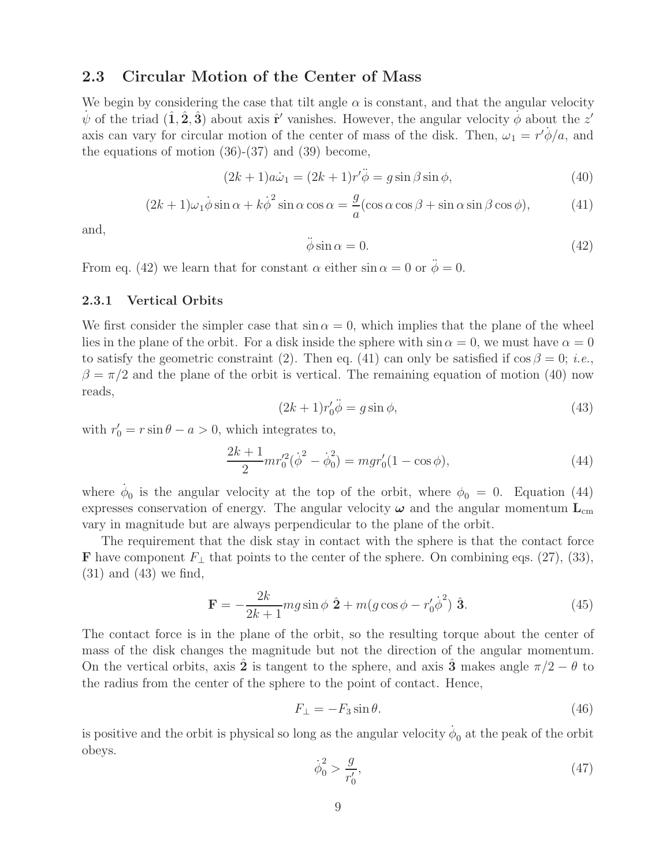### **2.3 Circular Motion of the Center of Mass**

We begin by considering the case that tilt angle  $\alpha$  is constant, and that the angular velocity  $\psi$  of the triad  $(\hat{\bf 1}, \hat{\bf 2}, \hat{\bf 3})$  about axis  $\hat{\bf r}'$  vanishes. However, the angular velocity  $\phi$  about the z' axis can vary for circular motion of the center of mass of the disk. Then,  $\omega_1 = r' \dot{\phi}/a$ , and the equations of motion  $(36)-(37)$  and  $(39)$  become,

$$
(2k+1)a\dot{\omega}_1 = (2k+1)r'\ddot{\phi} = g\sin\beta\sin\phi,\tag{40}
$$

$$
(2k+1)\omega_1 \dot{\phi} \sin \alpha + k \dot{\phi}^2 \sin \alpha \cos \alpha = \frac{g}{a} (\cos \alpha \cos \beta + \sin \alpha \sin \beta \cos \phi), \tag{41}
$$

and,

$$
\ddot{\phi}\sin\alpha = 0.\tag{42}
$$

From eq. (42) we learn that for constant  $\alpha$  either  $\sin \alpha = 0$  or  $\ddot{\phi} = 0$ .

#### **2.3.1 Vertical Orbits**

We first consider the simpler case that  $\sin \alpha = 0$ , which implies that the plane of the wheel lies in the plane of the orbit. For a disk inside the sphere with  $\sin \alpha = 0$ , we must have  $\alpha = 0$ to satisfy the geometric constraint (2). Then eq. (41) can only be satisfied if  $\cos \beta = 0$ ; *i.e.*,  $\beta = \pi/2$  and the plane of the orbit is vertical. The remaining equation of motion (40) now reads,

$$
(2k+1)r'_0\ddot{\phi} = g\sin\phi,\tag{43}
$$

with  $r'_0 = r \sin \theta - a > 0$ , which integrates to,

$$
\frac{2k+1}{2}mr_0'^2(\dot{\phi}^2 - \dot{\phi}_0^2) = mgr_0'(1 - \cos\phi),\tag{44}
$$

where  $\dot{\phi}_0$  is the angular velocity at the top of the orbit, where  $\phi_0 = 0$ . Equation (44) expresses conservation of energy. The angular velocity  $\omega$  and the angular momentum  $L_{cm}$ vary in magnitude but are always perpendicular to the plane of the orbit.

The requirement that the disk stay in contact with the sphere is that the contact force **F** have component  $F_⊥$  that points to the center of the sphere. On combining eqs. (27), (33), (31) and (43) we find,

$$
\mathbf{F} = -\frac{2k}{2k+1}mg\sin\phi\,\,\hat{\mathbf{2}} + m(g\cos\phi - r_0'\dot{\phi}^2)\,\,\hat{\mathbf{3}}.\tag{45}
$$

The contact force is in the plane of the orbit, so the resulting torque about the center of mass of the disk changes the magnitude but not the direction of the angular momentum. On the vertical orbits, axis 2 is tangent to the sphere, and axis 3<sup>∂</sup> makes angle  $\pi/2 - \theta$  to the radius from the center of the sphere to the point of contact. Hence,

$$
F_{\perp} = -F_3 \sin \theta. \tag{46}
$$

is positive and the orbit is physical so long as the angular velocity  $\dot{\phi}_0$  at the peak of the orbit obeys.

$$
\dot{\phi}_0^2 > \frac{g}{r'_0},\tag{47}
$$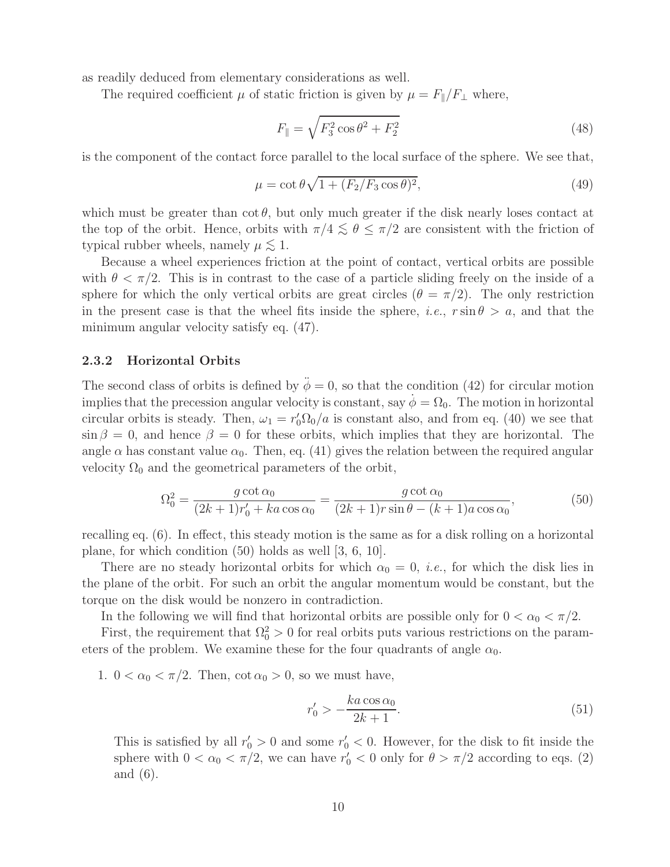as readily deduced from elementary considerations as well.

The required coefficient  $\mu$  of static friction is given by  $\mu = F_{\parallel}/F_{\perp}$  where,

$$
F_{\parallel} = \sqrt{F_3^2 \cos \theta^2 + F_2^2}
$$
 (48)

is the component of the contact force parallel to the local surface of the sphere. We see that,

$$
\mu = \cot \theta \sqrt{1 + (F_2/F_3 \cos \theta)^2},\tag{49}
$$

which must be greater than  $\cot \theta$ , but only much greater if the disk nearly loses contact at the top of the orbit. Hence, orbits with  $\pi/4 \lesssim \theta \leq \pi/2$  are consistent with the friction of typical rubber wheels, namely  $\mu \lesssim 1$ .

Because a wheel experiences friction at the point of contact, vertical orbits are possible with  $\theta < \pi/2$ . This is in contrast to the case of a particle sliding freely on the inside of a sphere for which the only vertical orbits are great circles ( $\theta = \pi/2$ ). The only restriction in the present case is that the wheel fits inside the sphere, *i.e.*,  $r \sin \theta > a$ , and that the minimum angular velocity satisfy eq. (47).

#### **2.3.2 Horizontal Orbits**

The second class of orbits is defined by  $\ddot{\phi} = 0$ , so that the condition (42) for circular motion implies that the precession angular velocity is constant, say  $\phi = \Omega_0$ . The motion in horizontal circular orbits is steady. Then,  $\omega_1 = r_0' \Omega_0/a$  is constant also, and from eq. (40) we see that  $\sin \beta = 0$ , and hence  $\beta = 0$  for these orbits, which implies that they are horizontal. The angle  $\alpha$  has constant value  $\alpha_0$ . Then, eq. (41) gives the relation between the required angular velocity  $\Omega_0$  and the geometrical parameters of the orbit,

$$
\Omega_0^2 = \frac{g \cot \alpha_0}{(2k+1)r'_0 + ka \cos \alpha_0} = \frac{g \cot \alpha_0}{(2k+1)r \sin \theta - (k+1)a \cos \alpha_0},
$$
\n(50)

recalling eq. (6). In effect, this steady motion is the same as for a disk rolling on a horizontal plane, for which condition (50) holds as well [3, 6, 10].

There are no steady horizontal orbits for which  $\alpha_0 = 0$ , *i.e.*, for which the disk lies in the plane of the orbit. For such an orbit the angular momentum would be constant, but the torque on the disk would be nonzero in contradiction.

In the following we will find that horizontal orbits are possible only for  $0 < \alpha_0 < \pi/2$ .

First, the requirement that  $\Omega_0^2 > 0$  for real orbits puts various restrictions on the parameters of the problem. We examine these for the four quadrants of angle  $\alpha_0$ .

1.  $0 < \alpha_0 < \pi/2$ . Then,  $\cot \alpha_0 > 0$ , so we must have,

$$
r'_0 > -\frac{ka\cos\alpha_0}{2k+1}.\tag{51}
$$

This is satisfied by all  $r'_0 > 0$  and some  $r'_0 < 0$ . However, for the disk to fit inside the sphere with  $0 < \alpha_0 < \pi/2$ , we can have  $r'_0 < 0$  only for  $\theta > \pi/2$  according to eqs. (2) and (6).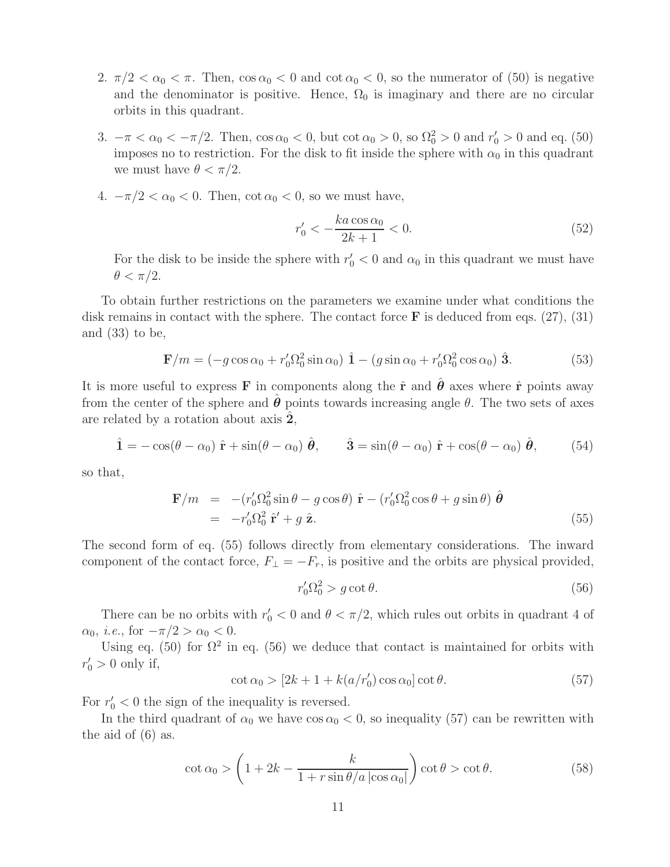- 2.  $\pi/2 < \alpha_0 < \pi$ . Then,  $\cos \alpha_0 < 0$  and  $\cot \alpha_0 < 0$ , so the numerator of (50) is negative and the denominator is positive. Hence,  $\Omega_0$  is imaginary and there are no circular orbits in this quadrant.
- 3.  $-\pi < \alpha_0 < -\pi/2$ . Then,  $\cos \alpha_0 < 0$ , but  $\cot \alpha_0 > 0$ , so  $\Omega_0^2 > 0$  and  $r'_0 > 0$  and eq. (50) imposes no to restriction. For the disk to fit inside the sphere with  $\alpha_0$  in this quadrant we must have  $\theta < \pi/2$ .
- 4.  $-\pi/2 < \alpha_0 < 0$ . Then, cot  $\alpha_0 < 0$ , so we must have,

$$
r'_0 < -\frac{ka\cos\alpha_0}{2k+1} < 0. \tag{52}
$$

For the disk to be inside the sphere with  $r'_0 < 0$  and  $\alpha_0$  in this quadrant we must have  $\theta < \pi/2$ .

To obtain further restrictions on the parameters we examine under what conditions the disk remains in contact with the sphere. The contact force **F** is deduced from eqs. (27), (31) and  $(33)$  to be,

$$
\mathbf{F}/m = (-g\cos\alpha_0 + r'_0\Omega_0^2\sin\alpha_0)\hat{\mathbf{1}} - (g\sin\alpha_0 + r'_0\Omega_0^2\cos\alpha_0)\hat{\mathbf{3}}.
$$
 (53)

It is more useful to express **F** in components along the  $\hat{\mathbf{r}}$  and  $\hat{\boldsymbol{\theta}}$  axes where  $\hat{\mathbf{r}}$  points away from the center of the sphere and  $\hat{\theta}$  points towards increasing angle  $\theta$ . The two sets of axes are related by a rotation about axis **2**ˆ,

$$
\hat{\mathbf{1}} = -\cos(\theta - \alpha_0) \hat{\mathbf{r}} + \sin(\theta - \alpha_0) \hat{\boldsymbol{\theta}}, \qquad \hat{\mathbf{3}} = \sin(\theta - \alpha_0) \hat{\mathbf{r}} + \cos(\theta - \alpha_0) \hat{\boldsymbol{\theta}}, \qquad (54)
$$

so that,

$$
\mathbf{F}/m = -(r'_0 \Omega_0^2 \sin \theta - g \cos \theta) \hat{\mathbf{r}} - (r'_0 \Omega_0^2 \cos \theta + g \sin \theta) \hat{\boldsymbol{\theta}} \n= -r'_0 \Omega_0^2 \hat{\mathbf{r}}' + g \hat{\mathbf{z}}.
$$
\n(55)

The second form of eq. (55) follows directly from elementary considerations. The inward component of the contact force,  $F_{\perp} = -F_r$ , is positive and the orbits are physical provided,

$$
r'_0 \Omega_0^2 > g \cot \theta. \tag{56}
$$

There can be no orbits with  $r'_0 < 0$  and  $\theta < \pi/2$ , which rules out orbits in quadrant 4 of  $\alpha_0$ , *i.e.*, for  $-\pi/2 > \alpha_0 < 0$ .

Using eq. (50) for  $\Omega^2$  in eq. (56) we deduce that contact is maintained for orbits with  $r'_0 > 0$  only if,

$$
\cot \alpha_0 > [2k + 1 + k(a/r'_0)\cos \alpha_0] \cot \theta.
$$
 (57)

For  $r'_0 < 0$  the sign of the inequality is reversed.

In the third quadrant of  $\alpha_0$  we have  $\cos \alpha_0 < 0$ , so inequality (57) can be rewritten with the aid of (6) as.

$$
\cot \alpha_0 > \left(1 + 2k - \frac{k}{1 + r \sin \theta / a \left|\cos \alpha_0\right|}\right) \cot \theta > \cot \theta. \tag{58}
$$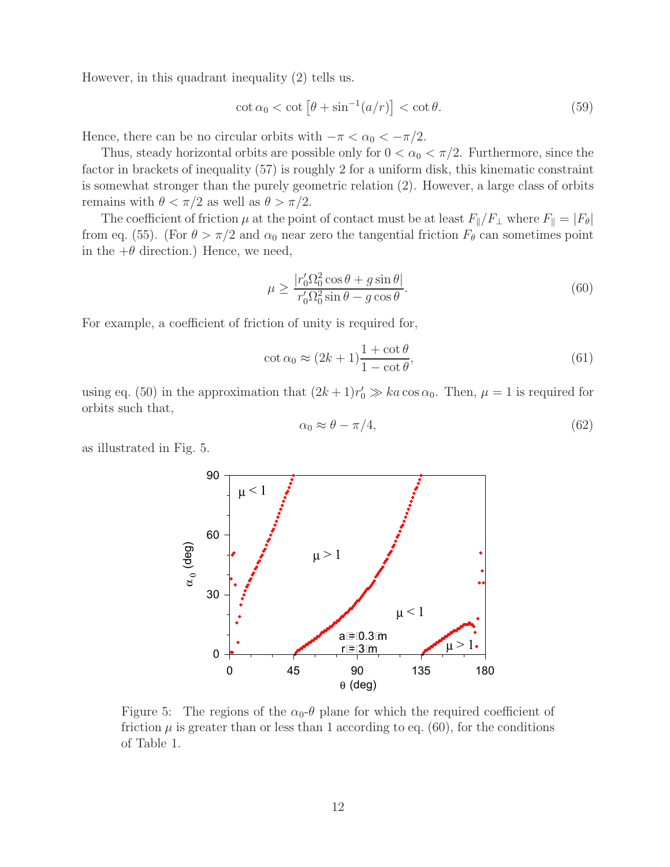However, in this quadrant inequality (2) tells us.

$$
\cot \alpha_0 < \cot \left[ \theta + \sin^{-1} (a/r) \right] < \cot \theta. \tag{59}
$$

Hence, there can be no circular orbits with  $-\pi < \alpha_0 < -\pi/2$ .

Thus, steady horizontal orbits are possible only for  $0 < \alpha_0 < \pi/2$ . Furthermore, since the factor in brackets of inequality (57) is roughly 2 for a uniform disk, this kinematic constraint is somewhat stronger than the purely geometric relation (2). However, a large class of orbits remains with  $\theta < \pi/2$  as well as  $\theta > \pi/2$ .

The coefficient of friction  $\mu$  at the point of contact must be at least  $F_{\parallel}/F_{\perp}$  where  $F_{\parallel} = |F_{\theta}|$ from eq. (55). (For  $\theta > \pi/2$  and  $\alpha_0$  near zero the tangential friction  $F_\theta$  can sometimes point in the  $+\theta$  direction.) Hence, we need,

$$
\mu \ge \frac{|r'_0 \Omega_0^2 \cos \theta + g \sin \theta|}{r'_0 \Omega_0^2 \sin \theta - g \cos \theta}.\tag{60}
$$

For example, a coefficient of friction of unity is required for,

$$
\cot \alpha_0 \approx (2k+1) \frac{1 + \cot \theta}{1 - \cot \theta},\tag{61}
$$

using eq. (50) in the approximation that  $(2k+1)r'_0 \gg ka \cos \alpha_0$ . Then,  $\mu = 1$  is required for orbits such that,

$$
\alpha_0 \approx \theta - \pi/4,\tag{62}
$$

as illustrated in Fig. 5.



Figure 5: The regions of the  $\alpha_0$ - $\theta$  plane for which the required coefficient of friction  $\mu$  is greater than or less than 1 according to eq. (60), for the conditions of Table 1.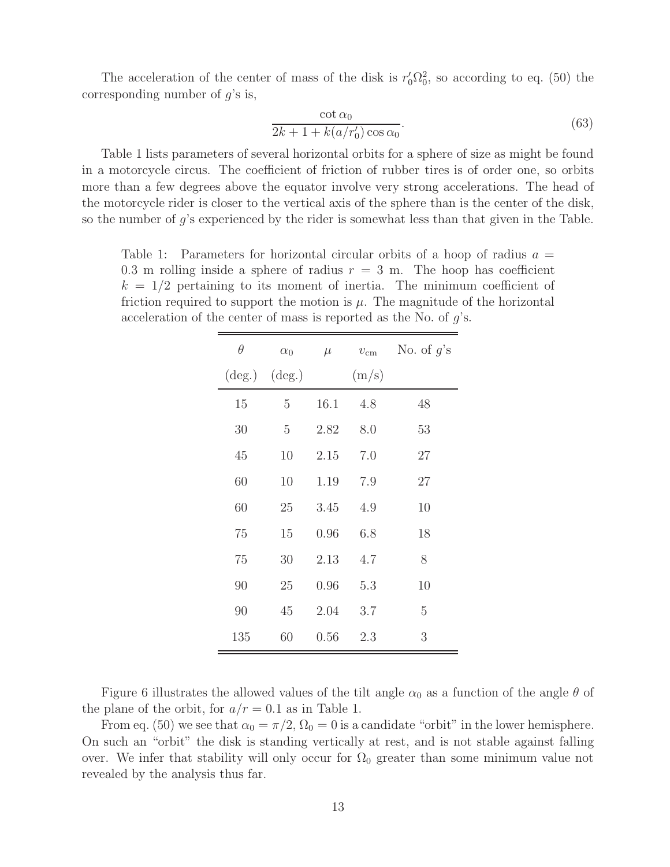The acceleration of the center of mass of the disk is  $r'_0\Omega_0^2$ , so according to eq. (50) the corresponding number of  $g$ 's is,

$$
\frac{\cot \alpha_0}{2k + 1 + k(a/r'_0)\cos \alpha_0}.
$$
\n(63)

Table 1 lists parameters of several horizontal orbits for a sphere of size as might be found in a motorcycle circus. The coefficient of friction of rubber tires is of order one, so orbits more than a few degrees above the equator involve very strong accelerations. The head of the motorcycle rider is closer to the vertical axis of the sphere than is the center of the disk, so the number of g's experienced by the rider is somewhat less than that given in the Table.

Table 1: Parameters for horizontal circular orbits of a hoop of radius  $a =$ 0.3 m rolling inside a sphere of radius  $r = 3$  m. The hoop has coefficient  $k = 1/2$  pertaining to its moment of inertia. The minimum coefficient of friction required to support the motion is  $\mu$ . The magnitude of the horizontal acceleration of the center of mass is reported as the No. of  $g$ 's.

| $\theta$                            | $\alpha_0$ | $\mu$ | $v_{\rm cm}$ | No. of $g$ 's |
|-------------------------------------|------------|-------|--------------|---------------|
| $(\text{deg.}) \quad (\text{deg.})$ |            |       | (m/s)        |               |
| 15                                  | 5          | 16.1  | 4.8          | 48            |
| 30                                  | 5          | 2.82  | 8.0          | 53            |
| 45                                  | 10         | 2.15  | 7.0          | 27            |
| 60                                  | 10         | 1.19  | 7.9          | 27            |
| 60                                  | 25         | 3.45  | 4.9          | 10            |
| 75                                  | 15         | 0.96  | 6.8          | 18            |
| 75                                  | 30         | 2.13  | 4.7          | 8             |
| 90                                  | 25         | 0.96  | 5.3          | 10            |
| 90                                  | 45         | 2.04  | 3.7          | 5             |
| 135                                 | 60         | 0.56  | 2.3          | 3             |

Figure 6 illustrates the allowed values of the tilt angle  $\alpha_0$  as a function of the angle  $\theta$  of the plane of the orbit, for  $a/r = 0.1$  as in Table 1.

From eq. (50) we see that  $\alpha_0 = \pi/2$ ,  $\Omega_0 = 0$  is a candidate "orbit" in the lower hemisphere. On such an "orbit" the disk is standing vertically at rest, and is not stable against falling over. We infer that stability will only occur for  $\Omega_0$  greater than some minimum value not revealed by the analysis thus far.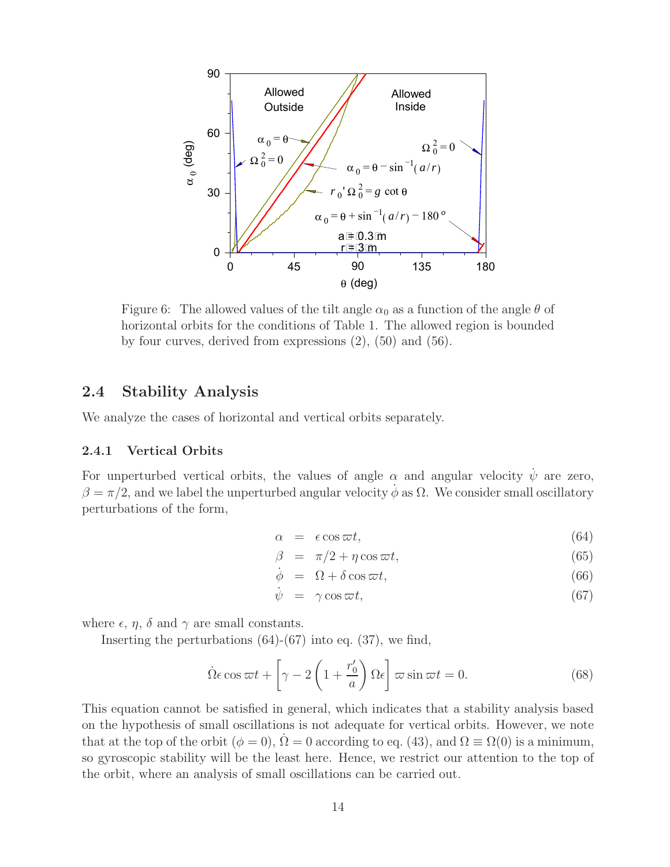

Figure 6: The allowed values of the tilt angle  $\alpha_0$  as a function of the angle  $\theta$  of horizontal orbits for the conditions of Table 1. The allowed region is bounded by four curves, derived from expressions (2), (50) and (56).

### **2.4 Stability Analysis**

We analyze the cases of horizontal and vertical orbits separately.

#### **2.4.1 Vertical Orbits**

For unperturbed vertical orbits, the values of angle  $\alpha$  and angular velocity  $\dot{\psi}$  are zero,  $\beta = \pi/2$ , and we label the unperturbed angular velocity  $\phi$  as  $\Omega$ . We consider small oscillatory perturbations of the form,

$$
\alpha = \epsilon \cos \varpi t, \tag{64}
$$

$$
\beta = \pi/2 + \eta \cos \varpi t, \tag{65}
$$

$$
\dot{\phi} = \Omega + \delta \cos \omega t, \tag{66}
$$

$$
\dot{\psi} = \gamma \cos \omega t, \tag{67}
$$

where  $\epsilon$ ,  $\eta$ ,  $\delta$  and  $\gamma$  are small constants.

Inserting the perturbations  $(64)-(67)$  into eq.  $(37)$ , we find,

$$
\dot{\Omega}\epsilon\cos\omega t + \left[\gamma - 2\left(1 + \frac{r_0'}{a}\right)\Omega\epsilon\right]\varpi\sin\omega t = 0.
$$
\n(68)

This equation cannot be satisfied in general, which indicates that a stability analysis based on the hypothesis of small oscillations is not adequate for vertical orbits. However, we note that at the top of the orbit  $(\phi = 0)$ ,  $\dot{\Omega} = 0$  according to eq. (43), and  $\Omega \equiv \Omega(0)$  is a minimum, so gyroscopic stability will be the least here. Hence, we restrict our attention to the top of the orbit, where an analysis of small oscillations can be carried out.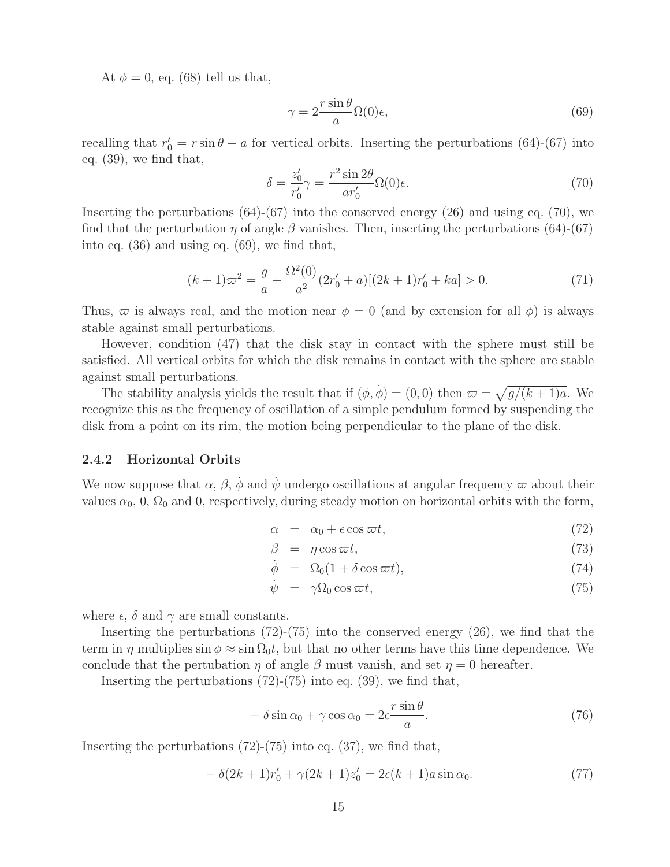At  $\phi = 0$ , eq. (68) tell us that,

$$
\gamma = 2 \frac{r \sin \theta}{a} \Omega(0) \epsilon,\tag{69}
$$

recalling that  $r'_0 = r \sin \theta - a$  for vertical orbits. Inserting the perturbations (64)-(67) into eq. (39), we find that,

$$
\delta = \frac{z'_0}{r'_0} \gamma = \frac{r^2 \sin 2\theta}{ar'_0} \Omega(0)\epsilon.
$$
\n(70)

Inserting the perturbations  $(64)-(67)$  into the conserved energy  $(26)$  and using eq.  $(70)$ , we find that the perturbation  $\eta$  of angle  $\beta$  vanishes. Then, inserting the perturbations (64)-(67) into eq. (36) and using eq. (69), we find that,

$$
(k+1)\varpi^2 = \frac{g}{a} + \frac{\Omega^2(0)}{a^2} (2r'_0 + a)[(2k+1)r'_0 + ka] > 0.
$$
\n(71)

Thus,  $\varpi$  is always real, and the motion near  $\phi = 0$  (and by extension for all  $\phi$ ) is always stable against small perturbations.

However, condition (47) that the disk stay in contact with the sphere must still be satisfied. All vertical orbits for which the disk remains in contact with the sphere are stable against small perturbations.

The stability analysis yields the result that if  $(\phi, \dot{\phi}) = (0, 0)$  then  $\varpi = \sqrt{g/(k+1)a}$ . We recognize this as the frequency of oscillation of a simple pendulum formed by suspending the disk from a point on its rim, the motion being perpendicular to the plane of the disk.

#### **2.4.2 Horizontal Orbits**

We now suppose that  $\alpha$ ,  $\beta$ ,  $\dot{\phi}$  and  $\dot{\psi}$  undergo oscillations at angular frequency  $\varpi$  about their values  $\alpha_0$ , 0,  $\Omega_0$  and 0, respectively, during steady motion on horizontal orbits with the form,

$$
\alpha = \alpha_0 + \epsilon \cos \varpi t, \tag{72}
$$

$$
\beta = \eta \cos \varpi t, \tag{73}
$$

$$
\dot{\phi} = \Omega_0 (1 + \delta \cos \varpi t), \tag{74}
$$

$$
\dot{\psi} = \gamma \Omega_0 \cos \varpi t, \qquad (75)
$$

where  $\epsilon$ ,  $\delta$  and  $\gamma$  are small constants.

Inserting the perturbations  $(72)-(75)$  into the conserved energy  $(26)$ , we find that the term in  $\eta$  multiplies  $\sin \phi \approx \sin \Omega_0 t$ , but that no other terms have this time dependence. We conclude that the pertubation  $\eta$  of angle  $\beta$  must vanish, and set  $\eta = 0$  hereafter.

Inserting the perturbations  $(72)-(75)$  into eq.  $(39)$ , we find that,

$$
-\delta\sin\alpha_0 + \gamma\cos\alpha_0 = 2\epsilon \frac{r\sin\theta}{a}.\tag{76}
$$

Inserting the perturbations  $(72)-(75)$  into eq.  $(37)$ , we find that,

$$
- \delta(2k+1)r'_0 + \gamma(2k+1)z'_0 = 2\epsilon(k+1)a\sin\alpha_0.
$$
 (77)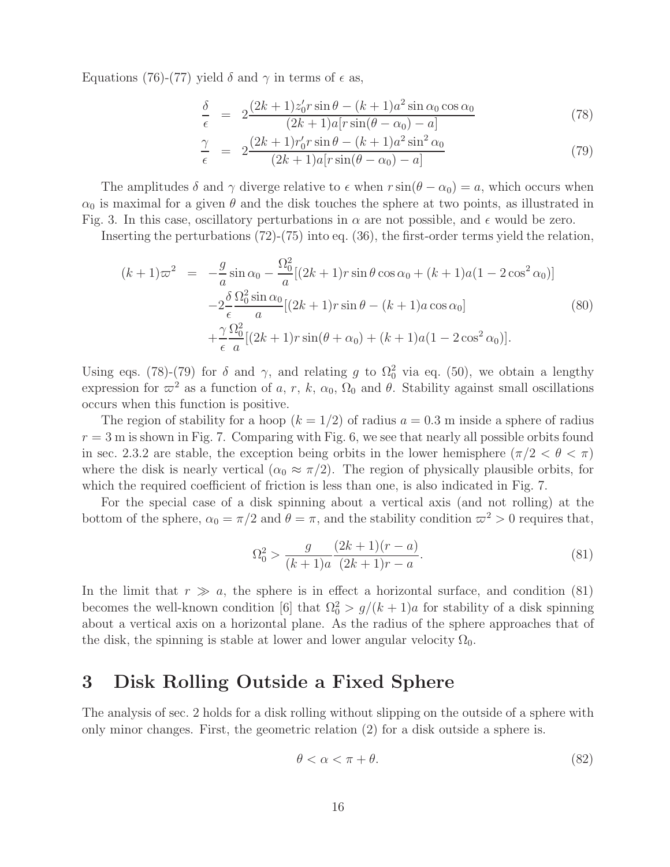Equations (76)-(77) yield  $\delta$  and  $\gamma$  in terms of  $\epsilon$  as,

$$
\frac{\delta}{\epsilon} = 2 \frac{(2k+1)z_0' r \sin \theta - (k+1)a^2 \sin \alpha_0 \cos \alpha_0}{(2k+1)a[r \sin(\theta - \alpha_0) - a]}
$$
\n(78)

$$
\frac{\gamma}{\epsilon} = 2 \frac{(2k+1)r'_0 r \sin \theta - (k+1)a^2 \sin^2 \alpha_0}{(2k+1)a[r \sin(\theta - \alpha_0) - a]}
$$
\n(79)

The amplitudes  $\delta$  and  $\gamma$  diverge relative to  $\epsilon$  when  $r \sin(\theta - \alpha_0) = a$ , which occurs when  $\alpha_0$  is maximal for a given  $\theta$  and the disk touches the sphere at two points, as illustrated in Fig. 3. In this case, oscillatory perturbations in  $\alpha$  are not possible, and  $\epsilon$  would be zero.

Inserting the perturbations (72)-(75) into eq. (36), the first-order terms yield the relation,

$$
(k+1)\varpi^2 = -\frac{g}{a}\sin\alpha_0 - \frac{\Omega_0^2}{a}[(2k+1)r\sin\theta\cos\alpha_0 + (k+1)a(1-2\cos^2\alpha_0)]
$$
  

$$
-2\frac{\delta}{\epsilon}\frac{\Omega_0^2\sin\alpha_0}{a}[(2k+1)r\sin\theta - (k+1)a\cos\alpha_0]
$$
  

$$
+\frac{\gamma}{\epsilon}\frac{\Omega_0^2}{a}[(2k+1)r\sin(\theta+\alpha_0) + (k+1)a(1-2\cos^2\alpha_0)].
$$
\n(80)

Using eqs. (78)-(79) for  $\delta$  and  $\gamma$ , and relating g to  $\Omega_0^2$  via eq. (50), we obtain a lengthy expression for  $\varpi^2$  as a function of a, r, k,  $\alpha_0$ ,  $\Omega_0$  and  $\theta$ . Stability against small oscillations occurs when this function is positive.

The region of stability for a hoop  $(k = 1/2)$  of radius  $a = 0.3$  m inside a sphere of radius  $r = 3$  m is shown in Fig. 7. Comparing with Fig. 6, we see that nearly all possible orbits found in sec. 2.3.2 are stable, the exception being orbits in the lower hemisphere  $(\pi/2 < \theta < \pi)$ where the disk is nearly vertical  $(\alpha_0 \approx \pi/2)$ . The region of physically plausible orbits, for which the required coefficient of friction is less than one, is also indicated in Fig. 7.

For the special case of a disk spinning about a vertical axis (and not rolling) at the bottom of the sphere,  $\alpha_0 = \pi/2$  and  $\theta = \pi$ , and the stability condition  $\varpi^2 > 0$  requires that,

$$
\Omega_0^2 > \frac{g}{(k+1)a} \frac{(2k+1)(r-a)}{(2k+1)r-a}.\tag{81}
$$

In the limit that  $r \gg a$ , the sphere is in effect a horizontal surface, and condition (81) becomes the well-known condition [6] that  $\Omega_0^2 > g/(k+1)a$  for stability of a disk spinning about a vertical axis on a horizontal plane. As the radius of the sphere approaches that of the disk, the spinning is stable at lower and lower angular velocity  $\Omega_0$ .

## **3 Disk Rolling Outside a Fixed Sphere**

The analysis of sec. 2 holds for a disk rolling without slipping on the outside of a sphere with only minor changes. First, the geometric relation (2) for a disk outside a sphere is.

$$
\theta < \alpha < \pi + \theta. \tag{82}
$$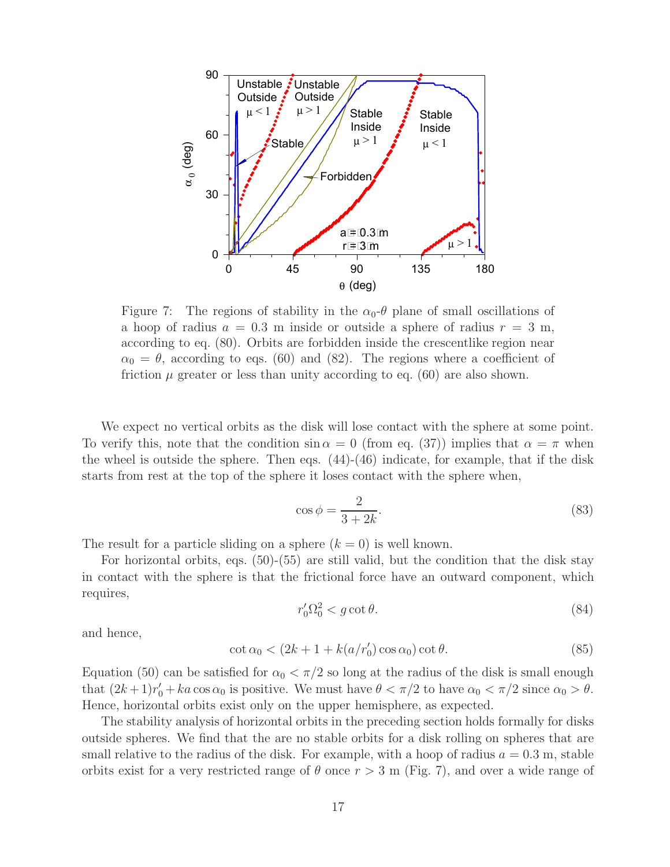

Figure 7: The regions of stability in the  $\alpha_0$ - $\theta$  plane of small oscillations of a hoop of radius  $a = 0.3$  m inside or outside a sphere of radius  $r = 3$  m, according to eq. (80). Orbits are forbidden inside the crescentlike region near  $\alpha_0 = \theta$ , according to eqs. (60) and (82). The regions where a coefficient of friction  $\mu$  greater or less than unity according to eq. (60) are also shown.

We expect no vertical orbits as the disk will lose contact with the sphere at some point. To verify this, note that the condition  $\sin \alpha = 0$  (from eq. (37)) implies that  $\alpha = \pi$  when the wheel is outside the sphere. Then eqs.  $(44)-(46)$  indicate, for example, that if the disk starts from rest at the top of the sphere it loses contact with the sphere when,

$$
\cos \phi = \frac{2}{3 + 2k}.\tag{83}
$$

The result for a particle sliding on a sphere  $(k = 0)$  is well known.

For horizontal orbits, eqs. (50)-(55) are still valid, but the condition that the disk stay in contact with the sphere is that the frictional force have an outward component, which requires,

$$
r'_0 \Omega_0^2 < g \cot \theta. \tag{84}
$$

and hence,

$$
\cot \alpha_0 < (2k + 1 + k(a/r'_0)\cos \alpha_0)\cot \theta. \tag{85}
$$

Equation (50) can be satisfied for  $\alpha_0 < \pi/2$  so long at the radius of the disk is small enough that  $(2k+1)r'_0 + ka \cos \alpha_0$  is positive. We must have  $\theta < \pi/2$  to have  $\alpha_0 < \pi/2$  since  $\alpha_0 > \theta$ . Hence, horizontal orbits exist only on the upper hemisphere, as expected.

The stability analysis of horizontal orbits in the preceding section holds formally for disks outside spheres. We find that the are no stable orbits for a disk rolling on spheres that are small relative to the radius of the disk. For example, with a hoop of radius  $a = 0.3$  m, stable orbits exist for a very restricted range of  $\theta$  once  $r > 3$  m (Fig. 7), and over a wide range of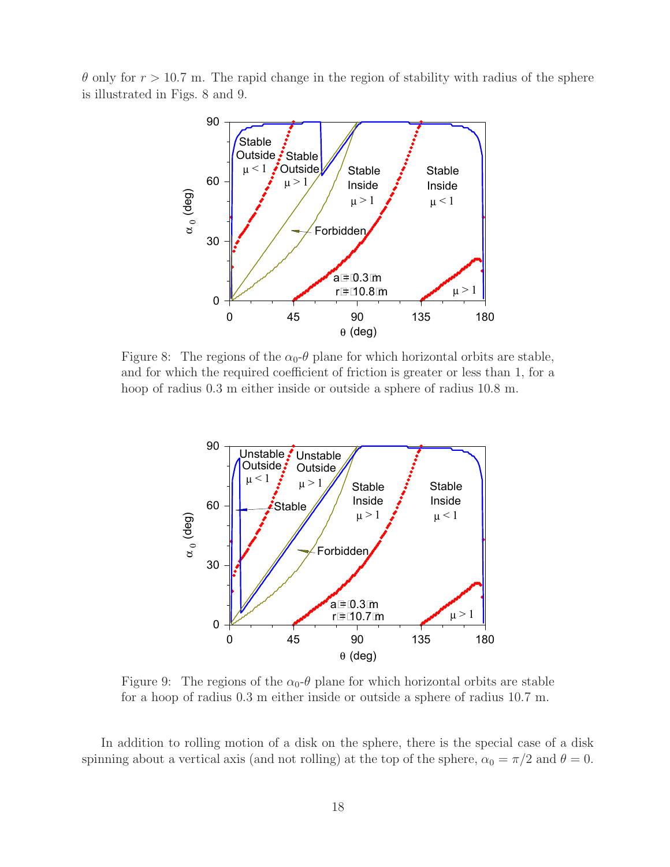$\theta$  only for  $r > 10.7$  m. The rapid change in the region of stability with radius of the sphere is illustrated in Figs. 8 and 9.



Figure 8: The regions of the  $\alpha_0$ - $\theta$  plane for which horizontal orbits are stable, and for which the required coefficient of friction is greater or less than 1, for a hoop of radius 0.3 m either inside or outside a sphere of radius 10.8 m.



Figure 9: The regions of the  $\alpha_0$ - $\theta$  plane for which horizontal orbits are stable for a hoop of radius 0.3 m either inside or outside a sphere of radius 10.7 m.

In addition to rolling motion of a disk on the sphere, there is the special case of a disk spinning about a vertical axis (and not rolling) at the top of the sphere,  $\alpha_0 = \pi/2$  and  $\theta = 0$ .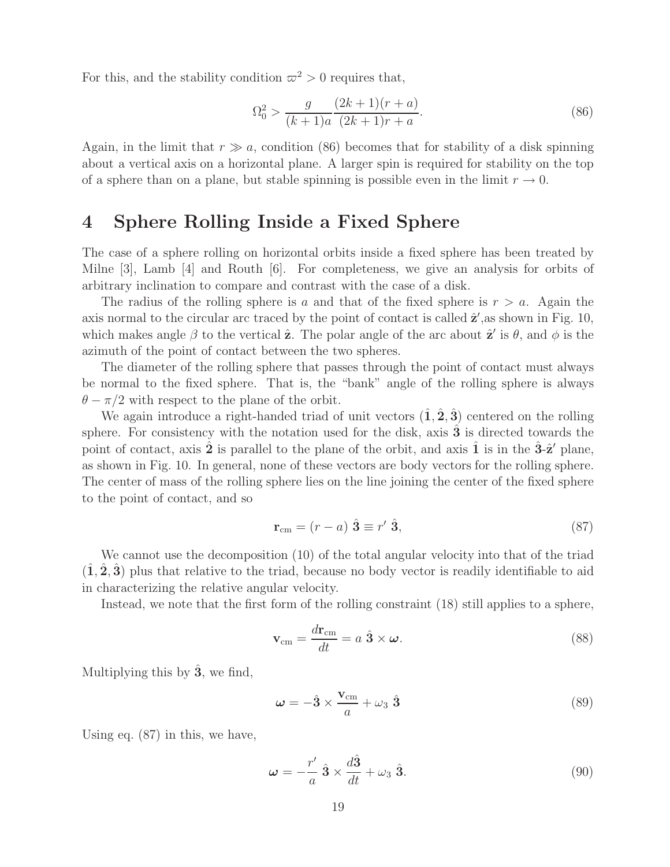For this, and the stability condition  $\varpi^2 > 0$  requires that,

$$
\Omega_0^2 > \frac{g}{(k+1)a} \frac{(2k+1)(r+a)}{(2k+1)r+a}.\tag{86}
$$

Again, in the limit that  $r \gg a$ , condition (86) becomes that for stability of a disk spinning about a vertical axis on a horizontal plane. A larger spin is required for stability on the top of a sphere than on a plane, but stable spinning is possible even in the limit  $r \to 0$ .

## **4 Sphere Rolling Inside a Fixed Sphere**

The case of a sphere rolling on horizontal orbits inside a fixed sphere has been treated by Milne [3], Lamb [4] and Routh [6]. For completeness, we give an analysis for orbits of arbitrary inclination to compare and contrast with the case of a disk.

The radius of the rolling sphere is a and that of the fixed sphere is  $r > a$ . Again the axis normal to the circular arc traced by the point of contact is called  $\hat{\mathbf{z}}'$ , as shown in Fig. 10, which makes angle  $\beta$  to the vertical  $\hat{\mathbf{z}}$ . The polar angle of the arc about  $\hat{\mathbf{z}}'$  is  $\theta$ , and  $\phi$  is the azimuth of the point of contact between the two spheres.

The diameter of the rolling sphere that passes through the point of contact must always be normal to the fixed sphere. That is, the "bank" angle of the rolling sphere is always  $\theta - \pi/2$  with respect to the plane of the orbit.

We again introduce a right-handed triad of unit vectors  $(\hat{\mathbf{1}}, \hat{\mathbf{2}}, \hat{\mathbf{3}})$  centered on the rolling sphere. For consistency with the notation used for the disk, axis  $\hat{3}$  is directed towards the point of contact, axis  $\hat{\mathbf{2}}$  is parallel to the plane of the orbit, and axis  $\hat{\mathbf{1}}$  is in the  $\hat{\mathbf{3}}$ - $\hat{\mathbf{z}}'$  plane, as shown in Fig. 10. In general, none of these vectors are body vectors for the rolling sphere. The center of mass of the rolling sphere lies on the line joining the center of the fixed sphere to the point of contact, and so

$$
\mathbf{r}_{\rm cm} = (r - a) \hat{\mathbf{3}} \equiv r' \hat{\mathbf{3}},\tag{87}
$$

We cannot use the decomposition (10) of the total angular velocity into that of the triad  $(1, 2, 3)$  plus that relative to the triad, because no body vector is readily identifiable to aid in characterizing the relative angular velocity.

Instead, we note that the first form of the rolling constraint (18) still applies to a sphere,

$$
\mathbf{v}_{\rm cm} = \frac{d\mathbf{r}_{\rm cm}}{dt} = a \hat{\mathbf{3}} \times \boldsymbol{\omega}.
$$
 (88)

Multiplying this by  $\hat{3}$ , we find,

$$
\omega = -\hat{3} \times \frac{\mathbf{v}_{\rm cm}}{a} + \omega_3 \hat{3}
$$
 (89)

Using eq. (87) in this, we have,

$$
\omega = -\frac{r'}{a} \hat{\mathbf{3}} \times \frac{d\hat{\mathbf{3}}}{dt} + \omega_3 \hat{\mathbf{3}}.
$$
 (90)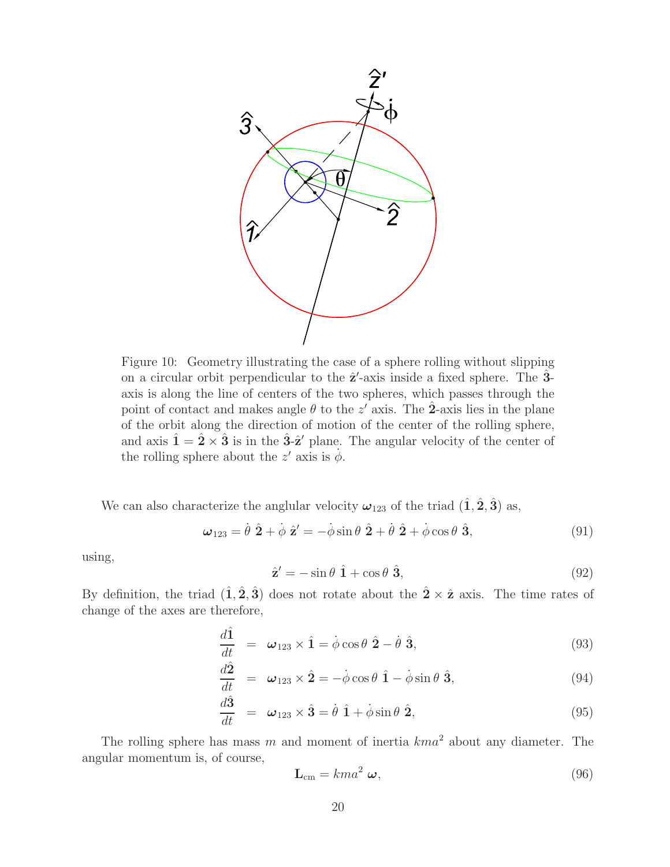

Figure 10: Geometry illustrating the case of a sphere rolling without slipping on a circular orbit perpendicular to the  $\hat{\mathbf{z}}'$ -axis inside a fixed sphere. The  $\hat{\mathbf{3}}$ axis is along the line of centers of the two spheres, which passes through the point of contact and makes angle  $\theta$  to the z' axis. The  $\hat{2}$ -axis lies in the plane of the orbit along the direction of motion of the center of the rolling sphere, and axis  $\hat{\mathbf{1}} = \hat{\mathbf{2}} \times \hat{\mathbf{3}}$  is in the  $\hat{\mathbf{3}}$ - $\hat{\mathbf{z}}$ <sup>'</sup> plane. The angular velocity of the center of the rolling sphere about the  $z'$  axis is  $\dot{\phi}$ .

We can also characterize the anglular velocity  $\omega_{123}$  of the triad  $(\hat{\mathbf{1}}, \hat{\mathbf{2}}, \hat{\mathbf{3}})$  as,

$$
\omega_{123} = \dot{\theta} \hat{\mathbf{2}} + \dot{\phi} \hat{\mathbf{z}}' = -\dot{\phi} \sin \theta \hat{\mathbf{2}} + \dot{\theta} \hat{\mathbf{2}} + \dot{\phi} \cos \theta \hat{\mathbf{3}},\tag{91}
$$

using,

$$
\hat{\mathbf{z}}' = -\sin\theta \hat{\mathbf{1}} + \cos\theta \hat{\mathbf{3}},\tag{92}
$$

By definition, the triad  $(\hat{\mathbf{1}}, \hat{\mathbf{2}}, \hat{\mathbf{3}})$  does not rotate about the  $\hat{\mathbf{2}} \times \hat{\mathbf{z}}$  axis. The time rates of change of the axes are therefore,

$$
\frac{d\hat{\mathbf{1}}}{dt} = \boldsymbol{\omega}_{123} \times \hat{\mathbf{1}} = \dot{\phi} \cos \theta \hat{\mathbf{2}} - \dot{\theta} \hat{\mathbf{3}},
$$
\n(93)

$$
\frac{d\hat{\mathbf{2}}}{dt} = \boldsymbol{\omega}_{123} \times \hat{\mathbf{2}} = -\dot{\phi}\cos\theta \hat{\mathbf{1}} - \dot{\phi}\sin\theta \hat{\mathbf{3}},
$$
(94)

$$
\frac{d\hat{\mathbf{3}}}{dt} = \boldsymbol{\omega}_{123} \times \hat{\mathbf{3}} = \dot{\theta} \hat{\mathbf{1}} + \dot{\phi} \sin \theta \hat{\mathbf{2}},
$$
\n(95)

The rolling sphere has mass m and moment of inertia  $kma^2$  about any diameter. The angular momentum is, of course,

$$
\mathbf{L}_{\rm cm} = kma^2 \ \boldsymbol{\omega},\tag{96}
$$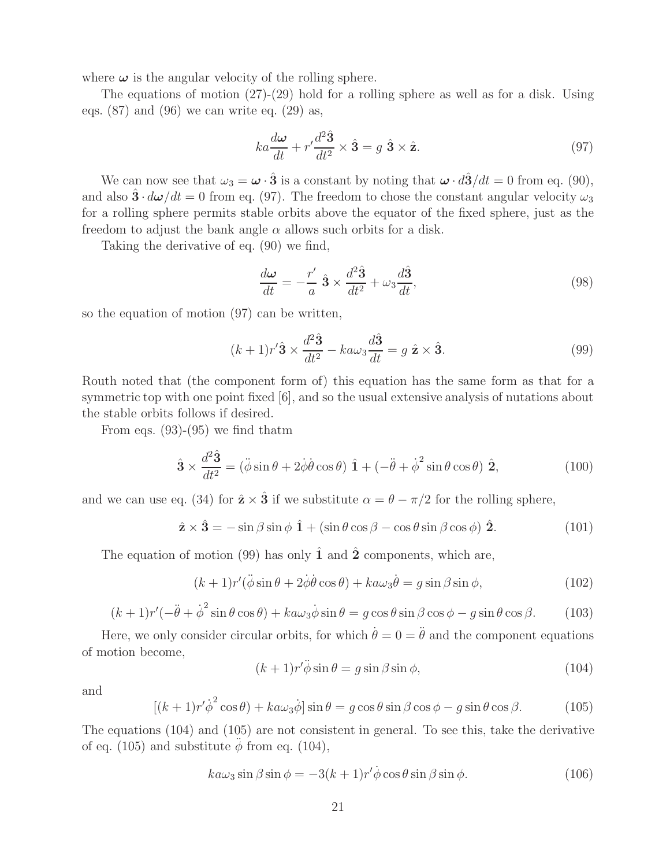where  $\omega$  is the angular velocity of the rolling sphere.

The equations of motion  $(27)-(29)$  hold for a rolling sphere as well as for a disk. Using eqs.  $(87)$  and  $(96)$  we can write eq.  $(29)$  as,

$$
ka\frac{d\omega}{dt} + r'\frac{d^2\hat{\mathbf{3}}}{dt^2} \times \hat{\mathbf{3}} = g \hat{\mathbf{3}} \times \hat{\mathbf{z}}.
$$
 (97)

We can now see that  $\omega_3 = \omega \cdot \hat{3}$  is a constant by noting that  $\omega \cdot d\hat{3}/dt = 0$  from eq. (90), and also  $3 \cdot d\omega/dt = 0$  from eq. (97). The freedom to chose the constant angular velocity  $\omega_3$ for a rolling sphere permits stable orbits above the equator of the fixed sphere, just as the freedom to adjust the bank angle  $\alpha$  allows such orbits for a disk.

Taking the derivative of eq. (90) we find,

$$
\frac{d\omega}{dt} = -\frac{r'}{a} \hat{\mathbf{3}} \times \frac{d^2 \hat{\mathbf{3}}}{dt^2} + \omega_3 \frac{d \hat{\mathbf{3}}}{dt},\tag{98}
$$

so the equation of motion (97) can be written,

$$
(k+1)r'\hat{\mathbf{3}} \times \frac{d^2\hat{\mathbf{3}}}{dt^2} - ka\omega_3 \frac{d\hat{\mathbf{3}}}{dt} = g \hat{\mathbf{z}} \times \hat{\mathbf{3}}.
$$
 (99)

Routh noted that (the component form of) this equation has the same form as that for a symmetric top with one point fixed [6], and so the usual extensive analysis of nutations about the stable orbits follows if desired.

From eqs.  $(93)-(95)$  we find thatm

$$
\hat{\mathbf{3}} \times \frac{d^2 \hat{\mathbf{3}}}{dt^2} = (\ddot{\phi} \sin \theta + 2\dot{\phi}\dot{\theta}\cos\theta) \hat{\mathbf{1}} + (-\ddot{\theta} + \dot{\phi}^2 \sin \theta \cos \theta) \hat{\mathbf{2}},
$$
(100)

and we can use eq. (34) for  $\hat{\mathbf{z}} \times \hat{\mathbf{3}}$  if we substitute  $\alpha = \theta - \pi/2$  for the rolling sphere,

$$
\hat{\mathbf{z}} \times \hat{\mathbf{3}} = -\sin\beta\sin\phi \hat{\mathbf{1}} + (\sin\theta\cos\beta - \cos\theta\sin\beta\cos\phi) \hat{\mathbf{2}}.
$$
 (101)

The equation of motion (99) has only  $\hat{1}$  and  $\hat{2}$  components, which are,

$$
(k+1)r'(\ddot{\phi}\sin\theta+2\dot{\phi}\dot{\theta}\cos\theta)+ka\omega_3\dot{\theta}=g\sin\beta\sin\phi,
$$
 (102)

$$
(k+1)r'(-\ddot{\theta} + \dot{\phi}^2 \sin \theta \cos \theta) + k a \omega_3 \dot{\phi} \sin \theta = g \cos \theta \sin \beta \cos \phi - g \sin \theta \cos \beta. \tag{103}
$$

Here, we only consider circular orbits, for which  $\dot{\theta} = 0 = \ddot{\theta}$  and the component equations of motion become,

$$
(k+1)r'\ddot{\phi}\sin\theta = g\sin\beta\sin\phi,\tag{104}
$$

and

$$
[(k+1)r'\dot{\phi}^2\cos\theta) + k a\omega_3\dot{\phi}]\sin\theta = g\cos\theta\sin\beta\cos\phi - g\sin\theta\cos\beta.
$$
 (105)

The equations (104) and (105) are not consistent in general. To see this, take the derivative of eq. (105) and substitute  $\phi$  from eq. (104),

$$
k a \omega_3 \sin \beta \sin \phi = -3(k+1)r' \dot{\phi} \cos \theta \sin \beta \sin \phi.
$$
 (106)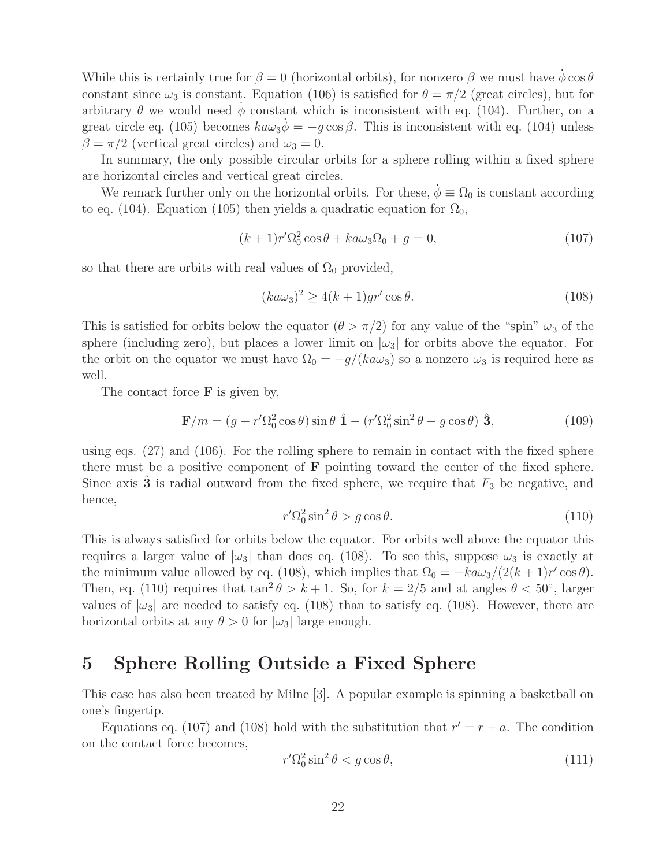While this is certainly true for  $\beta = 0$  (horizontal orbits), for nonzero  $\beta$  we must have  $\phi \cos \theta$ constant since  $\omega_3$  is constant. Equation (106) is satisfied for  $\theta = \pi/2$  (great circles), but for arbitrary  $\theta$  we would need  $\phi$  constant which is inconsistent with eq. (104). Further, on a great circle eq. (105) becomes  $k a \omega_3 \dot{\phi} = -g \cos \beta$ . This is inconsistent with eq. (104) unless  $\beta = \pi/2$  (vertical great circles) and  $\omega_3 = 0$ .

In summary, the only possible circular orbits for a sphere rolling within a fixed sphere are horizontal circles and vertical great circles.

We remark further only on the horizontal orbits. For these,  $\phi \equiv \Omega_0$  is constant according to eq. (104). Equation (105) then yields a quadratic equation for  $\Omega_0$ ,

$$
(k+1)r'\Omega_0^2\cos\theta + ka\omega_3\Omega_0 + g = 0,
$$
\n(107)

so that there are orbits with real values of  $\Omega_0$  provided,

$$
(ka\omega_3)^2 \ge 4(k+1)gr'\cos\theta. \tag{108}
$$

This is satisfied for orbits below the equator  $(\theta > \pi/2)$  for any value of the "spin"  $\omega_3$  of the sphere (including zero), but places a lower limit on  $|\omega_3|$  for orbits above the equator. For the orbit on the equator we must have  $\Omega_0 = -g/(ka\omega_3)$  so a nonzero  $\omega_3$  is required here as well.

The contact force **F** is given by,

$$
\mathbf{F}/m = (g + r'\Omega_0^2 \cos \theta) \sin \theta \hat{\mathbf{1}} - (r'\Omega_0^2 \sin^2 \theta - g \cos \theta) \hat{\mathbf{3}},\tag{109}
$$

using eqs. (27) and (106). For the rolling sphere to remain in contact with the fixed sphere there must be a positive component of **F** pointing toward the center of the fixed sphere. Since axis **3** is radial outward from the fixed sphere, we require that  $F_3$  be negative, and hence,

$$
r'\Omega_0^2 \sin^2 \theta > g \cos \theta. \tag{110}
$$

This is always satisfied for orbits below the equator. For orbits well above the equator this requires a larger value of  $|\omega_3|$  than does eq. (108). To see this, suppose  $\omega_3$  is exactly at the minimum value allowed by eq. (108), which implies that  $\Omega_0 = -k a \omega_3 / (2(k+1)r' \cos \theta)$ . Then, eq. (110) requires that  $\tan^2 \theta > k + 1$ . So, for  $k = 2/5$  and at angles  $\theta < 50^{\circ}$ , larger values of  $|\omega_3|$  are needed to satisfy eq. (108) than to satisfy eq. (108). However, there are horizontal orbits at any  $\theta > 0$  for  $|\omega_3|$  large enough.

## **5 Sphere Rolling Outside a Fixed Sphere**

This case has also been treated by Milne [3]. A popular example is spinning a basketball on one's fingertip.

Equations eq. (107) and (108) hold with the substitution that  $r' = r + a$ . The condition on the contact force becomes,

$$
r'\Omega_0^2 \sin^2 \theta < g \cos \theta,\tag{111}
$$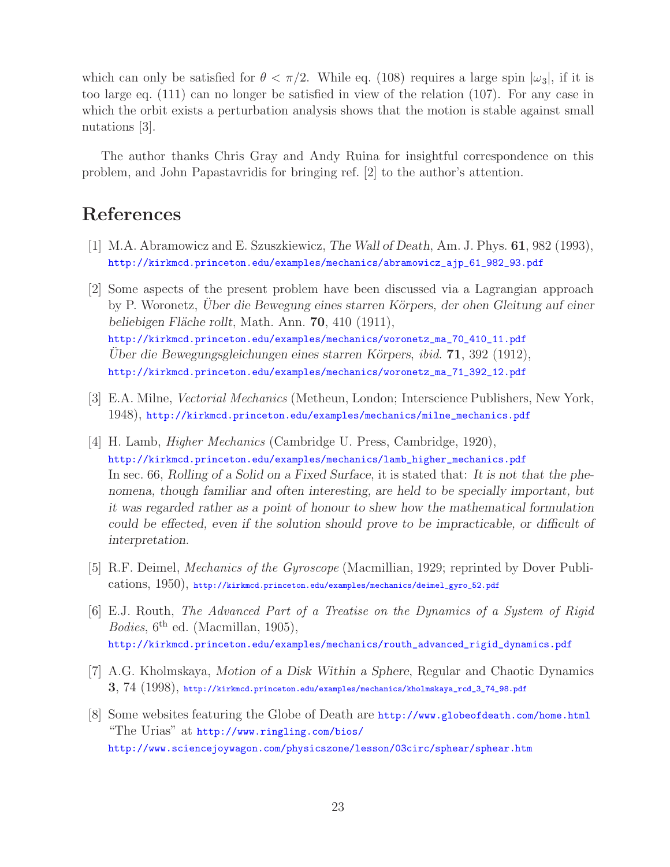which can only be satisfied for  $\theta < \pi/2$ . While eq. (108) requires a large spin  $|\omega_3|$ , if it is too large eq. (111) can no longer be satisfied in view of the relation (107). For any case in which the orbit exists a perturbation analysis shows that the motion is stable against small nutations [3].

The author thanks Chris Gray and Andy Ruina for insightful correspondence on this problem, and John Papastavridis for bringing ref. [2] to the author's attention.

# **References**

- [1] M.A. Abramowicz and E. Szuszkiewicz, *The Wall of Death*, Am. J. Phys. **61**, 982 (1993), http://kirkmcd.princeton.edu/examples/mechanics/abramowicz\_ajp\_61\_982\_93.pdf
- [2] Some aspects of the present problem have been discussed via a Lagrangian approach by P. Woronetz, *Uber die Bewegung eines starren K¨ ¨ orpers, der ohen Gleitung auf einer beliebigen Fl¨ache rollt*, Math. Ann. **70**, 410 (1911), http://kirkmcd.princeton.edu/examples/mechanics/woronetz\_ma\_70\_410\_11.pdf *Uber die Bewegungsgleichungen eines starren K¨ ¨ orpers*, *ibid*. **71**, 392 (1912), http://kirkmcd.princeton.edu/examples/mechanics/woronetz\_ma\_71\_392\_12.pdf
- [3] E.A. Milne, *Vectorial Mechanics* (Metheun, London; Interscience Publishers, New York, 1948), http://kirkmcd.princeton.edu/examples/mechanics/milne\_mechanics.pdf
- [4] H. Lamb, *Higher Mechanics* (Cambridge U. Press, Cambridge, 1920), http://kirkmcd.princeton.edu/examples/mechanics/lamb\_higher\_mechanics.pdf In sec. 66, *Rolling of a Solid on a Fixed Surface*, it is stated that: *It is not that the phenomena, though familiar and often interesting, are held to be specially important, but it was regarded rather as a point of honour to shew how the mathematical formulation could be effected, even if the solution should prove to be impracticable, or difficult of interpretation*.
- [5] R.F. Deimel, *Mechanics of the Gyroscope* (Macmillian, 1929; reprinted by Dover Publications, 1950), http://kirkmcd.princeton.edu/examples/mechanics/deimel\_gyro\_52.pdf
- [6] E.J. Routh, *The Advanced Part of a Treatise on the Dynamics of a System of Rigid Bodies*,  $6^{th}$  ed. (Macmillan, 1905), http://kirkmcd.princeton.edu/examples/mechanics/routh\_advanced\_rigid\_dynamics.pdf
- [7] A.G. Kholmskaya, *Motion of a Disk Within a Sphere*, Regular and Chaotic Dynamics **3**, 74 (1998), http://kirkmcd.princeton.edu/examples/mechanics/kholmskaya\_rcd\_3\_74\_98.pdf
- [8] Some websites featuring the Globe of Death are http://www.globeofdeath.com/home.html "The Urias" at http://www.ringling.com/bios/ http://www.sciencejoywagon.com/physicszone/lesson/03circ/sphear/sphear.htm